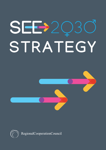# SEB2Q **STRATEGY**



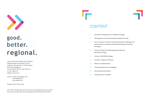

## good. better. regional.

Title: SOUTH EAST EUROPE 2030 STRATEGY Publisher: Regional Cooperation Council Trg Bosne i Hercegovine 1/V, 71000 Sarajevo Bosnia and Herzegovina Tel: +387 33 561 700; Fax: +387 33 561 701 E-mail: rcc@rcc.int Website: www.rcc.int

Authors: Arslan Umut Ergezer, RCC Petra Balažič, RCC Evisi Kopliku, RCC

Design & Layout: Samir Dedić

© RCC 2021. All rights reserved. The content of this publication may be used for Noncommercial purposes, with the appropriate credit attributed to the RCC.

F

### **CONTENT**

opportunities in reaching Sustainable Development Goals by

- **4** Introduction: Background to a Regional Strategy **6** 2030 Agenda and the Sustainable Development Goals **9** Socio-economic outlook of South East Europe: Challenges and
	- the Region
- **24** Goals, principles and methodology of preparing SEE 2030 Strategy
- **27** Outline of SEE 2030 Strategy
- **33** Priorities, Targets and Actions
- **54** Means of implementation
- **57** Financing Mechanisms and Budget
- **59** Monitoring and Evaluation
- **62** Implementation Timetable

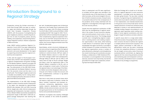Cooperation among the thirteen economies of South East Europe (SEE) has been an authentic, region-led initiative elaborated through the South East European Cooperation Process (SEECP), with the purpose of strengthening the good-neighbourly relations, transforming the region into an area of prosperity, peace, security, stability, and cooperation, and promoting the European integration and Euro-Atlantic cooperation of SEE economies.

Under SEECP political guidance, Regional Cooperation Council (RCC) has been implementing regional programmes and strategies aimed at economic and social development of the region by supporting and enhancing intra-regional connectivity and cooperation.

In 2011, with the support of the European Commission (EC), the RCC was requested to prepare a regional competitiveness and growth strategy for the Western Balkans, inspired in principle and approach by the European Union (EU) 2020 Strategy. The endorsement of this SEE 2020 Strategy coincided with the Western Balkans' recovery from the economic shock and the return to its growth path. The Strategy's targets proved to be a valuable accountability tool for raising awareness and steering the policy discussion at the regional and SEE economy levels.

The implementation of the SEE 2020 Strategy yielded a number of positive results. Employment in the region has expanded by approximately 835,000 jobs between 2010 and 2019, favouring formal, waged jobs while informal employment, especially self-employment, has been in decline. In fact, Western Balkan economies exceeded the employment target of SEE 2020 in 2019 with regional average employment rate reaching 59.1



per cent. Accelerated progress was furthermore observed in the Foreign Direct Investments (FDI) inflows in the region, with FDI inflows increasing from EUR 3.6bn in 2010 to almost EUR 8bn in 2019, exceeding the EUR 7.3bn target for 2020. The implementation efforts facilitated the emergence of other complementary regional cooperation initiatives, such as the Multi-annual Action Plan for a Regional Economic Area (MAP REA) and its successor, the Common Regional Market Action Plan (CRM AP) 2021-20241 .

Nevertheless, certain structural challenges persist and continue to negatively affect the regional development trajectory, with still relatively weak resilience to external shocks. GDP per capita of the Western Balkans stood at a mere 36.7 per cent of EU average in 2019. Youth unemployment, although falling to 29.8 per cent by 2019, is still nearly twice as high as the EU average. Wages and labour costs are significantly lower in the Western Balkans compared to the EU, with no clear convergence in recent years. Furthermore, the apparent labour cost advantage of the Western Balkan economies disappears when productivity per unit of labour is taken into account, and their competitiveness continues to lag behind their EU competitors.

With that in mind, there are several areas which still require a high level of attention, namely the labour markets, investment and business environment, connectivity, digitalisation, human capital, research, development and innovation (R&D&I), climate and environment, and rule of law and good governance as the foundations of effective and sustainable development.

Resilience of progress was recently challenged with the outbreak of the COVID-19 pandemic.

Gains in employment and FDI were significantly curtailed, and the region was reminded in the most dramatic way of the importance of a viable reform process, as the one envisaged in the context of the EU accession process. Going forward, a successful rebound from the consequences of the pandemic will be closely interlinked with the integration in and alignment of the region with the EU's own recovery efforts.

Overall, the most significant contribution of SEE 2020 was the strengthening of regional ownership in the context of socio-economic development and reinforcement of joint action in the areas of regional importance. The Strategy played a pivotal role in strengthening regional cooperation in existing sectors and creating cooperation opportunities in new areas, while fostering a wide network of connections within the region and between the region and the EU. It provided a unified framework for pooled contributions from key regional organisations across a number of policy dimensions, allowing for and strengthening the overall monitoring and coordination process. Notably, a collaboration of SEE Statistical Offices has been a crucial ingredient in the monitoring exercise, and even more importantly, has laid the groundwork for longer-term cooperation, remaining important beyond SEE 2020.

While the Strategy left no doubt as to the benefits of a regional approach to socio-economic development, it provided some key lessons to be taken going forward. The top-down oriented process of programming and implementation of actions did not provide for sufficient involvement of the implementers and intended beneficiaries on the ground, such as the private sector and its related institutions. Furthermore, limitations were detected in access to and operationalisation of available funding; frequent succumbing to a silo approach; weak capacities and/or lacking mandates of some regional coordinators; and challenges in target formulations and data collection.

A specific issue which to a large extent determines the success of any programmatic commitment concerns the level of political will. Against a complex political and economic situation in the region, political commitment to SEE 2020 implementation varied over the years, translating at times into suboptimal efficiency in achieving the set targets across policy areas. Ensuring a sustained political commitment, by aligning the regional with the overarching domestic priorities and maintaining open and transparent communication channels, will therefore have to constitute the basis of any strategy or programme.

### **Introduction: Background to a Regional Strategy**

<sup>1 2020</sup> Annual Report on Implementation of SEE 2020 Strategy, April 2021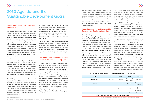#### **Global commitment to Sustainable Development**

World leaders committed themselves to the principles of sustainable development at the 70th UN General Assembly on 25 September 2015 with the adoption of the 2030 Agenda for Sustainable Development (hereafter the "2030 Agenda")<sup>2</sup> having at its core the Sustainable Development Goals. During the same year, the Paris Climate Agreement (COP21)<sup>3</sup>, the Addis Ababa Action Agenda<sup>4</sup>, and the Sendai Framework for Disaster Risk Reduction<sup>5</sup> were adopted.

Sustainable development seeks to address the needs of current and future generations, utilising natural resources and ecosystems in ways that preserve and sustain them and ensure equitable access to them in the present and the future. It sets the framework for securing viable and lasting development, and decent livelihoods for all. The United Nations process on the Sustainable Development Goals, one of the key outcomes of the United Nations Conference on Sustainable Development (Rio+20), built upon the Millennium Development Goals and adopted a set of goals that is coherent with and integrated into the United Nations 2030 development agenda.

The 2030 Agenda for Sustainable Development represents an ambitious new blueprint to respond to global trends and challenges. The core of the 2030 Agenda is formed by 17 Sustainable Development Goals (SDGs) and their 169 associated targets, global in nature, universally applicable and interlinked. All economies, developed and developing alike, have a shared responsibility to

2 UN Resolution A/RES/70/1

- 3 UN decision -/CP.21, adoption of the Paris Agreement
- 4 UN Resolution A/RES/69/313
- 5 Adopted at the Third UN World Conference on Disaster Risk Reduction in Sendai, Japan, on 18 March 2015

achieve the SDGs. The 2030 Agenda integrates in a balanced manner the three dimensions of sustainable development - economic, social and environmental - and reflects for the first time an international consensus that peace, security, justice for all, and social inclusion are not only to be pursued on their own, but that they reinforce each other.

The 2030 Agenda is based on a global partnership involving all stakeholders. It requires mobilisation of all means of implementation and a strong follow-up and review mechanism to ensure progress and accountability. The SDGs help to steer a process of convergence, between economies, within societies and with the rest of the world.

#### **The commitment to implement 2030 Agenda at the SEE economy level**

The 2030 Agenda for Sustainable Development encourages UN member states to conduct regular and inclusive reviews of progress at the national and sub-national levels, which are country-led and country-driven (paragraph 79 of the Agenda 2030). These national reviews are expected to serve as a basis for the regular reviews by the UN High Level Political Forum (HLPF) meeting under the auspices of Economic and Social Council (ECOSOC) every year in July. As stipulated in paragraph 84 of the 2030 Agenda, regular reviews by the HLPF are to be voluntary, stateled, undertaken by both developed and developing economies, and shall provide a platform for partnerships, including through the participation of major groups and other relevant stakeholders.

#### **VOLUNTARY NATIONAL REVIEWS AT THE UN HIGH LEVEL POLITICAL FORUM\* 2016 2017 2018 2019 2020 Montenegro** Sloveni Bosnia and T**urkey** Republic of Republic of Senative Croatia Republic of Republic of Republic of Republic of Republic of Republic of Republic of Republic of Republic of Republic of Republic of Republic of Republic of Republic of Repu Romania <sub>|</sub> Serbia

The Voluntary National Reviews (VNRs) aim to facilitate the sharing of experiences, including successes, challenges and lessons learned, with a view to accelerating the implementation of the 2030 Agenda. The VNRs also seek to strengthen policies and institutions of governments and to mobilise multi-stakeholder support and partnerships for the implementation of the Sustainable Development Goals.

#### **South East Europe and Sustainable Development Goals: State of Play**

South East Europe today faces many sustainability challenges ranging from youth unemployment, brain drain, depopulation (due to high level of emigration and natural causes), to income inequalities, poverty, climate change, pollution, sustainable energy supply, and limited development financing. To preserve cohesion, it is essential to invest in both young and old, foster inclusive and sustainable growth, tackle inequalities, attract investments and manage migration. Pursuing responsible fiscal policies and implementing reforms will strengthen the sustainability of the healthcare and pension systems to mitigate the risks of aging society and alleviate the surging dependency of old to working age population. To preserve the natural capital, it is crucial to accelerate the transition to a low-carbon, climate resilient, resource efficient and circular economy.

The 17 SDGs provide qualitative and quantitative objectives for the next 9 years to prepare the economies of South East European Cooperation Process (SEECP) for the future and work towards human dignity, stability, a healthy planet, fair and resilient societies and prosperous economies.

Agenda 2030 is already being pursued at economy level by the participants of South East European Cooperation Process (SEECP) by mainstreaming the Sustainable Development Goals (SDGs) into their policies, legislation and initiatives. Agenda 2030 implies that all policies - domestic and foreign, strategic plans and budgets should be aligned with the 17 SDGs.

The participating economies of SEECP have put in place institutional frameworks and mechanisms to implement the SDGs, they have developed economy level strategies or have gone through the process of aligning this vision with other domestic priorities, as well as with local implementation efforts, helping to enhance policy coherence both horizontally (across sectors) and vertically (across government levels) while others have developed broad stakeholder consultations. Finally, policy coherence for sustainable development (PCSD) has proven to be a particular challenge as the implementation of SDGs remains compartmentalised. Inter-ministerial mechanisms work mainly to enhance policy coherence for the domestic implementation of the SDGs. It is important that such mechanisms be considered

### **2030 Agenda and the Sustainable Development Goals**

|                                                                                                   | 2018    | 2019                      | 2020                              |
|---------------------------------------------------------------------------------------------------|---------|---------------------------|-----------------------------------|
| a                                                                                                 | Albania | Bosnia and<br>Herzegovina | <b>Bulgaria</b>                   |
|                                                                                                   | Greece  | Croatia                   | Republic of<br>Moldova            |
|                                                                                                   | Romania | Serbia                    | Republic<br>of North<br>Macedonia |
|                                                                                                   |         | Turkey                    | Slovenia                          |
| $h \circ \mathsf{CDC} \circ \mathsf{and} \land \mathsf{even} \circ \mathsf{AC} \circ \mathsf{AC}$ |         |                           |                                   |

**Kosovo\* adopted voluntarily the SDGs and Agenda 2030**

\* This designation is without prejudice to positions on status, and is in line with UNSCR 1244/1999 and the ICJ Opinion on the Kosovo declaration of independence

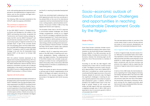

to link with existing appropriate mechanisms and policies for the implementation of regional instruments, such as the normative and legal instruments developed by UNECE.

The following VNRs have been presented at the UN HLPF under the auspices of ECOSOC:

#### **The commitment to implement the 2030 Agenda at the regional level**

At the 2019 SEECP Summit in Sarajevo/Jahorina, Bosnia and Herzegovina, the Leaders of the SEECP participating economies recognised the "constructive and forward-looking synergy between the RCC and the SEECP framework" and reconfirmed the mandate to the RCC "to continue pursuing a policy of regional connectivity in all possible ways". In light of the concrete results over the preceding years and the evident benefits of the SEE 2020 Strategy, participants tasked the RCC "to prepare a vision of a post-SEE 2020 Strategy in line with the UN Sustainable Goals Agenda 2030", at the level of all thirteen SEE economies.

With this political mandate expressed at the highest level of political representatives, RCC has begun preparing the SEE 2030 Strategy, based on the needs assessment, lessons learned, and an extensive consultation process with all relevant stakeholders, to be ready for endorsement at the 2021 SEECP Summit in Antalya under the current SEECP Chairmanship-in-Office of Ankara.

#### **Alignment with the EU policies**

Sustainable development has been at the heart of European policy and it has been firmly anchored in the EU Treaties6. Given the clear European orientation expressed in the SEECP's founding Charter on Good-Neighbourly Relations, Stability, Security and Cooperation in South East Europe7 and the clearly stated intent of integrating the Region fully in the European and Euro-Atlantic structures, it is worth noting the strong link between the Region

6 Articles 3 and 21 of the Treaty on European Union

8 COM (2019) 640 final.

and the EU in reaching Sustainable Development Goals.

The EU has committed itself to delivering on the 2030 Agenda both within the Union and abroad. It has placed SDGs at the core of its international cooperation and has mainstreamed them into key cross-cutting projects, sectoral policies and initiatives. The pursuit of SDGs in SEE is thus fully aligned with the EU's own trajectory.

The European Green Deal is the EU's response to environment-related challenges and climate change consequences, coming as an integral part of the EC's strategy to implement the SDGs, while putting people first $^{\rm 8}$ . The EU Green Deal recognises the need to rethink policies so that they lead to sustainable consumption and production, clean energy, climate-proofing and circular economy, and a pollution-free environment. To achieve the latter, the EC plans to adopt a zero-pollution Action Plan for air, water and soil, in 2021.

In addition, the EU is supporting some participants of the SEE family in fostering socio-economic development, likewise underpinned by green and digital transition. The implementation of the SDGs however has a broader scope, pertaining to a number of cross-cutting elements related to the quality of life. In that sense, SEE 2030 Strategy based on UN SDGs is complementary to these existing efforts.

Finally, this relates as well to the post-pandemic recovery plan of the EU. Implementation of UN SDGs in the Region will support and aid the implementation of the recovery trajectory of SEE economies in full alignment with the EU recovery efforts.

#### **State of Play**

#### **General aspects**

South East Europe comprises thirteen economies as defined according to their status of participation to the South East Europe Cooperation Process (SEECP). Five SEE economies are EU Member States, including two economies in the Eurozone, whereas the remaining eight are EU aspirants. One of the economies is a member of G-20.

According to the IMF, the SEE Region's GDP reached some 2 trillion USD (in constant prices)<sup>9</sup> in 2020. The Region's economic output amounted to approximately 3.1 per cent of global GDP in 2020 and, if considered as a whole, would have constituted the 8th largest economy in the world. However, despite its economic size, the Region has significant challenges in reaching its economic growth potential in the context of sustainable development goals. In addition, COVID-19 pandemic has added another layer to the challenge of growth. Based on the current estimates, the SEE region's GDP has contracted by a weighted average rate of 1.9% in 2020 and is expected to return to economic growth in 2021 at a forecasted rate of 5.4%.10

10 RCC calculations based on World Economic Outlook, April 2021 (https://www.imf.org/external/datamapper/NGDP\_RPCH@WEO/OEM-



The overview below provides an overview of the current state of play in some of the key sectors and areas of socio-economic development, as related to the Sustainable Development Goals.

#### **Intra-regional trade: untapped potential**

In terms of regional trade, the total volume of intra-SEE exports reached 69.7 billion USD in 2019<sup>11</sup>. This represents a share of 16% in total exports of SEE economies and offers some indication of the potential to create regional trade. Furthermore, better connectivity with the third countries may enhance intra-regional trade by supporting the formation of regional value chains to export overseas.

In terms of intra-SEE trade, the merchandise exports originating from Turkey, Bulgaria, Romania, and Greece represent 61% of the total intra-SEE exports. These exports nevertheless represent only around or less than one-fifth of the respective economies' total exports. Moreover, the exports among the four largest economies, given their economic size, represented 40% of the overall intra-SEE exports in 2019.

### **Socio-economic outlook of South East Europe: Challenges and opportunities in reaching Sustainable Development Goals by the Region**

<sup>7</sup> SEECP Charter, Bucharest, 12 February 2020

<sup>9 4.1</sup> trillion USD (in international dollars, PPP)

DC/ADVEC/WEOWORLD)

<sup>11</sup> RCC calculations based on data available in UN COMTRADE and CEFTA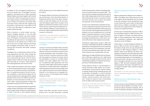SOUTH EAST EUROPE 2030 STRATEGY 10 10 11

In addition to this sub-regional trading block in the south-eastern part of the Region, one also appears in the western part of SEE, comprising Western Balkan economies together with Croatia and Slovenia. Within this grouping, the share of intra-regional trade in overall trade is particularly low in Albania. Furthermore, the western SEE economies mainly trade with their neighbouring economies in the west part of the SEE as 77% of their intra-SEE exports is destined to other western SEE economies.

What is lacking to a certain extent, and represents untapped potential, is the intra-SEE trade between the western and south-eastern parts of the Region. The potential is even greater considering the opportunity of increasing trade connectivity of the western part of SEE to the rest of the world, through measures promoting and facilitating international trade via the remaining SEE economies with better transport connectivity.

The Region has a comprehensive network of free trade agreements with each other, though the extent varies depending on the individual economy's relationship with the EU. Save for the EU member states of SEE and Turkey, the remaining SEE economies do not have a wide network of free trade agreements with third countries.

Trade in agricultural goods is still in part subject to tariffs and quotas, particularly in the trade between non-EU and EU economies of the SEE Region. It is guided according to the tariff concession schedules or tariff quotas foreseen by the individual bilateral free trade agreements signed between the EU and non-EU SEE economies and between non-EU economies and Turkey. In contrast, trade in agricultural goods has been fully liberalised among the CEFTA Parties of SEE.

Trade in services is fully liberalised among the EU member states of SEE given their membership in the EU single market, whereas the liberalisation of trade in services is also foreseen between

People living below mid-high income economy poverty line in the SEE economies<sup>12</sup> comprise

CEFTA Parties as part of the Additional Protocol 6 of CEFTA.

The Western Balkan economies and Moldova are also beneficiaries of the Generalised System of Preferences (GSP) of the US and Japan. However, similar to other GSP regimes, the US and Japanese GSP regimes require direct transport to be eligible for preferential treatment, which is one of the key factors undermining the preferential access of Western Balkans to those markets, given the sub-region's significantly limited maritime transport connectivity.

Improvement in this area would most directly contribute to meeting the targets of SDG 8: Decent work and economic growth.

#### **Transport connectivity: blocking access to markets**

Transport connectivity between SEE economies has so far been more focused on road transport, whereas maritime and railroad connectivity have not been developed to their full potential. In particular, the limits in maritime connectivity of SEE, with the exception of Greece and Turkey, restrict the possibilities of access to overseas export markets. This, taken together with a low number of preferential trade agreements with third countries, hinders SEE's opportunities to expand trade with non-traditional partners. Upgrades to inland waterways would also enhance west-east intra-regional connectivity of at least 5 SEE participants on the Danube and its navigable tributaries, as part of the European Rhine-Danube transport corridor.

Improvement in this area would most directly contribute to meeting the targets of SDG 9 - Industry, innovation and infrastructure.

#### **Income inequality: impact on the quality of life**

12.5% of the population, while for the Western Balkans such poverty head count reaches 19%.<sup>13</sup> The level of income of people living below the poverty line in SEE is highly determinant of their quality of life by affecting the access to education, health, and other services such as basic environment and sanitation at the household level.

Further to the 12.5% already living below the poverty line, subpopulation groups living at the risk of poverty could be pushed below the line due to the socio-economic risks brought on by the COVID-19 pandemic, such as unemployment, out-of-pocket health or education expenses, or price increases due to inflationary pressures, supply disruptions, exchange rate weaknesses, or other macro-economic difficulties in their respective economies.

Statistically, subpopulation groups in SEE such as women, unemployed, pensioners, families with dependents, and single parents live at a relatively higher risk of poverty and vulnerability. Their quality of life is also relatively lower, given their oftentimes limited access to quality public services.

Additionally, the regional differences and inequalities in SEE play a significant role in determining the access and quality of public services, with a notable high probability of emigration by the people living in underdeveloped regions.

Finally, effective access to and participation in cultural activities for SEE citizens, as an essential dimension of promoting an inclusive society, is severely limited among vulnerable groups and communities. Participation in cultural activities can be instrumental in helping people and communities overcome poverty and social exclusion $14$ . Access to culture is thus a crucial policy action for SEE social inclusion process.

Improvement in this area would most directly contribute to meeting the targets of SDGs 1 – No poverty, and 10 – Reducing inequality.

14 The role of culture in preventing and reducing poverty and social exclusion, Centre for Public Policy at Northumbria University, 2005



#### **Regional development differences: three layers**

Regional development differences are indeed notable in the Region. Each SEE economy has only a few regions performing better than the overall economy's average in human development index scores measuring income, health and education performance. In addition, convergence of underperformers with outperformers has not been observed to any significant extent.

Another layer of development inequality in SEE is the one between regions of SEE economies. Majority of regions in Slovenia and Greece perform higher in human development index scores than their counterparts elsewhere, with significant variations across the Region.

Finally, there is a noted divergence between regions of SEE economies and the regions in the EU Member States which are typical destination countries for SEE emigrants. Regions in those Member States have relatively low levels of divergence compared to the ones observed in SEE. The difference between most advanced regions and underdeveloped regions in the emigration receiving economies in Europe is narrow. Even the level of divergence between the most advanced regions in SEE and least developed emigration receiving regions of Europe is still significant, and convergence between these respective regions is largely absent.

Improvement in this area would most directly contribute to meeting the targets of SDG 10 – Reducing inequality.

#### **Natural and man-made disaster risks: sharing the burden**

The occurrence of natural disasters in South East Europe has high probability. According to the International Natural Disasters Database, 31% of all natural disasters recorded in Europe between

<sup>12</sup> Poverty level for the SEE 2030 Strategy is considered as 5.50 USD daily per capita, which is mid-high income economies poverty threshold. The main reason why this level is applied rather than the international poverty line of 1.90 USD per day per capita is the fact that the SEE Region is either composed of EU member states or the economies which aspire to join the EU, a grouping of high-income countries.

<sup>13</sup> Poverty data received from World Bank PovcalNet. According to the PovcalNet data, data collection years and type of poverty data per SEE economy are as follows: Albania (2017) (consumption), Bosnia and Herzegovina (2011) (consumption), Bulgaria (2018) (income), Croatia (2018) (income), Greece (2018) (income), Kosovo\* (2017) (consumption), Moldova (2018) (consumption), Montenegro (2016) (income), Republic of North Macedonia (2018) (income), Romania (2018) (income), Serbia (2017) (income), Slovenia (2018) (income), Turkey (2019) (consumption)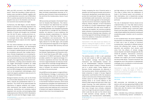SOUTH EAST EUROPE 2030 STRATEGY 12 13

1900 and 2021 occurred in the SEECP participants15. Direct life casualties in these natural disasters were recorded as 108,823, together with an estimated direct economic cost of 66.8 billion USD. It could be assumed that the indirect loss of people's lives due to the disasters and the indirect economic loss would be even higher.

Furthermore, the SEE Region, and the Western Balkans in particular, is intensely exposed to the adverse impact of climate change. The region is getting warmer and dryer, while the frequency and intensity of floods and droughts has increased over the last 50 years, causing enormous socio-economic and environmental damage such as increased forest fires, desertification, decreased agricultural outputs and other negative consequences.

Not only natural disasters, but also man-made disasters such as wildfires, and technological disasters caused by industrial/chemical, nuclear or transport-related hazards and risks need to be considered, along with their multiple interactions. Climate change leads to an increasing frequency and intensity of extreme weather events, such as excessive wind, snow and rainfall, floods, droughts, thus aggravating the likelihood of natural disasters, including natural disasters which can trigger technological accidents (so called NaTech events). The interactions among multiple hazards and risks need to be considered and built into DRR strategies and practical measures, such as risk assessment methodologies, which need to be regularly updated, to take account of a changing risk landscape.

Biological hazards and risks, such as the threat of communicable diseases like the current pandemic, indicate the quintessential need for cooperation. The COVID-19 has demonstrated the importance of regional solidarity and cooperation mechanisms that enable coordination of measures, distributing and accessing medical equipment and vaccines, and exchanging skilled medical personnel. While the COVID-19 pandemic caught the world and the Region largely unprepared, recurrence of such events remains highly likely and better preparedness becomes an imperative, given the level of interconnectedness of the world and the transboundary nature of such events.

SEE economies participate in the Sendai Framework for Disaster Risk Reduction. This international framework has determined four priorities in tackling disaster risk and management: understanding disaster risk; strengthening disaster risk governance to manage the risk; investing in disaster risk reduction to serve resilience; and enhancing disaster preparedness for effective response and to 'Build Back Better' in recovery, rehabilitation and reconstruction. The risk drivers underlined by the Sendai Framework are highly relevant for the SEE region, with possible cross-policy/sectoral responses at the regional, as well as at individual SEE economy and local levels.

The region already cooperates in this area through the Disaster Preparedness and Prevention Initiative for South East Europe (DPPI-SEE), currently comprised of 10 SEECP participants. While DPPI provides a platform for regional exchange of information, experience and know-how, SEE does not have a regional disaster risk reduction strategy in place which could help manage different disaster categories, as well as enhance implementation of disaster risk reduction measures and activities at the economy level.

Should SEE economies agree on a regional Disaster Risk Reduction Strategy, it could build on the four priorities defined within the Sendai Framework and propose a measurable and action-oriented strategic programme for the Region, based on the Sendai Framework indicators, which would simultaneously strengthen the implementation of the Framework. In that way it would provide a more coherent policy level response and a mechanism of bilateral and regional databases to exchange relevant data, know-how and experiences.

Finally, increasing the role of financial sector in disaster risk financing and transfer, particularly in financing for development, would need to be supported and incentivised through donor financed and facilitated credit mechanisms. Such mechanisms could include upgrades to the existing Europa Re insurance mechanism (originally established by Albania, Republic of North Macedonia and Serbia as a project implementation agency for the World Bank and other donor-funded catastrophe and weather risk insurance projects), better utilisation of existing financing facilities for disaster recovery following major disasters, and promoting regional fundraising campaigns to enhance the resilience of education and health infrastructures to disasters.

Improvement in this area would most directly contribute to meeting the targets of SDGs 11 – Sustainable cities and communities, 13 – Climate action and 17 – Partnership for the goals.

#### **Financial sector: Higher potential to support sustainable economic growth**

The banking sector in SEE is well capitalised as the bank assets to GDP are slightly below the European average. Non-bank financial institutions and intermediaries however are by far underdeveloped. Collective investment vehicles are absent outside of Greece, Slovenia and to a certain extent Turkey, Bulgaria and Romania. Similar weaknesses are observed in the insurance sector. Market capitalization of the listed companies is lowest in Europe. Regional approaches could therefore offer the necessary scale to overcome some of these market failures. Another space for further development in SEE banking sector is its current reliance on the balance sheet-based secured loans rather than project financing. The credit institutions in SEE prefer balance sheets secured loans or securing their loans through more orthodox collaterals such as through the personal assets of debtors which could also be seen as the natural result of weak domestic savings capacity of SEE economies, low macroeconomic predictability,

16 SEE average of services valued added in % of GDP calculated using the World Bank national accounts data for 2019. Data for Bulgaria missing



and high reliance on short-term capital inflows. This state of affairs limits the mobilisation of funds in the financial sector and activation of their intermediary role to disseminate savings to the overall population and to private sector in particular.

The role of development finance should not be underestimated, as it may help reduce poverty and income inequalities by transitioning from inefficient to efficient using. In particular, green finance and new green instruments are severely underutilised, despite their potential in easing and accelerating green transition and its economic benefits.

At the household level, the poorer segments of the population are affected by a low accessibility of loans and a lack of access to insurance, increasing their vulnerability to different external shocks and affecting their access to health, education and sanitation. Such shocks could come from the effects of climate change, natural disaster and health emergencies like the COVID-19 pandemic. International community has therefore begun considering insurance schemes that support low-income households and the private sector. "Inclusive insurance" has emerged as one of the solutions to development challenges and is considered a crucial instrument in sustainable development.

Improvement in this area would most directly contribute to meeting the targets of SDGs 8 – Decent work and economic growth, and 9 – Industry, innovation and infrastructure.

#### **Sectors in value formation: reliance on services**

SEE economies are dominated by services sectors, with services generating 54.82% of GDP in SEE, on average.<sup>16</sup> Under the strain of COVID-19, these were also the sectors most affected by containment measures.

After a decades-long continuous deindustrialisation, manufacturing sectors' contribution to

<sup>15</sup> South East Europe as defined here covers 823,550 km2 of European continent's land mass. In addition, the Asian part of Turkey covers additional 758,798 km2.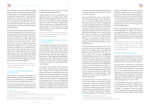SOUTH EAST EUROPE 2030 STRATEGY 14 15

GDP in the Region amounts to 12.58% on average, while the share of manufacturing stands at 14.5% of GDP in the EU<sup>17</sup>. The outbreak of the pandemic compelled SEE economies to initiate stimulus programmes to shield their manufacturing sectors from short-term bankruptcy, but in the medium- and long-term the automation and digital transformation together with adjustments to green production will produce high fixed capital investment needs.

Furthermore, the recent disruptions in global value chains caused by the COVID-19 pandemic have accelerated some of the value chain diversification trends observed even before the pandemic outbreak. According to the QIMA supply chain barometer, the proportion of US and EU-based businesses that have already begun sourcing from new economies (outside of East Asia) during 2020 or intend to do so in the near term have shot up to 80% in the US and 67% in the European Union. Furthermore, McKinsey's survey of supply chain managers (Q2 2020) notes that 40% intends to near-shore and increase the supplier base and 38% intend to regionalise supply chains. This provides ample opportunities for closer integration of SEE businesses in global value chains, particularly via EU-based integrators.

the SEE agricultural land to its total surface area is larger than the EU's share of 41%.<sup>18</sup>

However, despite the size of agricultural land, agricultural output is far below that of developed economies, mostly due to low productivity. The average value added of workers employed in agriculture, forestry and fishing in SEE is 12,805 USD (in constant prices according to 2010 USD)<sup>19</sup>. Comparing that with the 28,740 USD average output of workers in the EU reveals the full scale of the efficiency gap.<sup>20</sup>

Improvement in this area would most directly contribute to meeting the targets of SDG 8 – Decent work and economic growth.

#### **Agriculture: large potential hindered by low productivity**

The contribution of agriculture to GDP in SEE is notable, standing at a regional average of 6.45%. This sector has a significant role in rural development and reducing poverty and regional inequalities.

The size of agricultural land in SEE is vast and covers 756 thousand km2 or approximately 47.7% of total area surface. With such size, the share of

Improvement in this area would most directly contribute to meeting the targets of SDG 12 – Responsible consumption and production.

#### **Population: negative demographic trends and aging societies**

The SEE Region's population has been decreasing. According to the UN Population Office, the current population of the SEE in 2020 is around 150 million people. However, the same institution estimates that the SEE population will be 122 million people in 2100 according to the medium fertility scenario. The average estimated depopulation rate for the SEE in the next 80 years is 6.7 per thousand21. The depopulation of SEE is caused by a combination of natural causes and high tendency of emigration.

As regards natural causes, another important point of socio-economic concern will be the aging of society in SEE. According to the UN Word Population Prospects, the dependency ratio of old people to the working age population in SEE was 26.4% in 2020 and is forecasted to rise to 33.2% in 2030 and 54.6% in 2060. Such a significant hike of 28 percent points in 40 years would jeopardise sustainability of public social security systems of both pension coverage and universal public care. Even though the relative size of social protection schemes is comparable or even larger, in some instances, than those in the EU, the effectiveness of income redistribution measures is low due to less optimal targeting.

This natural depopulation trend is further amplified by increasing emigration from the SEE region. The majority of SEE economies have net emigration and have an interest in decelerating or better managing these trends, as they lead to a number of negative effects, such as: reduction of the stock of human capital, labour/skills shortage, limited capacity to innovate and adopt more advanced technologies, labour market changes (e.g. reduction of wages), fiscal consequences (e.g. reduction of tax income), market-size (e.g. reduction of consumption), reduced economic growth, reduced productivity, higher costs of public goods, and the loss of investment in human capital formation.

To illustrate the point, according to Labour Force Survey data (LFS), the overall working-age population of the Western Balkan economies has dropped by about 762,000, or 6 per cent from 2012 to 2019<sup>22</sup>. While accurate disaggregated and standardised statistical data on emigration is difficult to obtain in large parts of the Region, this trend can be observed from the point of host countries of SEE emigrants. During 2019 alone, the EU Member States have issued 349,976 first permits to non-EU residents from the SEE<sup>23</sup>. According to the UN estimations, the total emigrant stock of SEE reached 16.5 million people in 2019 which corresponds to 10.9% of the region's estimated population<sup>24</sup>. Such figure represents a  $48\%$ increase in the total number of emigrants from SEE recorded in 1990.

The potential benefits of skills emigration may include return migration, remittances, incentives for investment in education and training, and an improvement of governance. Therefore, efforts and policies to decelerate brain drain should be combined with utilising the potentials of emigrated skills. In parallel, a higher level of cooperation and raising awareness of the regions receiving



migration are needed towards socio-economic drawbacks stemming from the current depopulation trend in SEE. A better institutionalised migration to ensure the current trend of emigration from SEE would help not to deplete human capital in critical sectors such as health, IT, and research and innovation. Promoting circular migration programmes might assist in incentivising returning mobility of SEE migrants.

Further harnessing the current potential of diaspora engagement is required to be steered in the following directions: (i) diaspora direct investment, (ii) diaspora facilitated FDI, (iii) diaspora knowledge transfers and (iv) diaspora trade agents to help internationalise the private sectors.

Improvement in this area would most directly contribute to meeting the targets of SDGs 3 – Good health and well-being, 4 – Quality education, 8 – Decent work and economic growth, and 16 – Peace, justice and strong institutions.

#### **Education: quality issues persist**

Education is a critical element of socio-economic growth, with each additional year of schooling being associated with a percentage increase in wages (as high as 8-10%), health and longevity.

Since education is mainly (but not exclusively) financed by government expenditures in the Region, the level of that expenditure could be taken as proxy for investment into quality and access to education. The available data reveal that government expenditures on education vary considerably across the SEE, ranging from 3.3% to 5.4% of GDP. By comparison, the EU-27 average education spending amounts to 4.6% of GDP.

In the SEE Region, the years of compulsory primary and secondary education as prescribed by the law range from 8 to 13 years. When it comes to largely non-compulsory secondary education, the completion rate is significantly affected by the socio-economic background, particularly

<sup>17</sup> World Bank national accounts data, 2019

<sup>18</sup> World Bank – total size of agricultural lands in square km

<sup>19</sup> World Bank - Agriculture, forestry and fishing value added per worker in constant prices (2010 USD) (excluding Kosovo\* for which data is not available)

<sup>20</sup> World Bank - Agriculture, forestry and fishing value added per worker in constant prices (2010 USD)

<sup>21</sup> UN Population Division, Department of Economic and Social Affairs, World Population Prospects 2019

<sup>22</sup> wiiw, Western Balkans Labour Market Trends 2020

<sup>23</sup> Eurostat, First permit issued by an EU Member State during 2019

<sup>24</sup> United Nations Population Division | Department of Economic and Social Affairs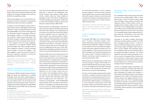Gender (sex) appears to be a less dramatic determinant of access to education, not surpassing 2% difference where such data is available.<sup>25</sup>

SOUTH EAST EUROPE 2030 STRATEGY 16 17

for the upper secondary education: on average, 60.6% of the poorest quintile completes this level, whereas the average completion rate stands at 96.3% for the wealthiest quintile.

In addition to school attendance, quality of learning should be a priority. SEE Region is performing well when it comes to population literacy (it does not fall below 98%),<sup>26</sup> but results of the Programme for International Student Assessment (PISA) are discouraging. In 2018, out of all SEE economies, only Slovenian students performed better than the OECD average in reading, mathematics and science; all the other economies performed lower than average in all of the three categories. In comparison, 11 non-SEE EU Member States performed higher than OECD average across all three categories, whereas 5 others performed above average in at least one category.<sup>27</sup> This data suggests a need to enhance the quality of learning in education institutions to narrow the gap between the SEE and the EU.

Improvement in this area would most directly contribute to meeting the targets of SDGs 4 – Quality education,5 – Gender equality, and 10 – Reducing inequalities.

#### **Research, Development and Innovation (R&D&I): investing more, investing smarter**

Investments in R&D&I increase the stock of knowledge and devise new applications of available knowledge. World economies ranking highest in the share of GDP spending on R&I are also among the most affluent ones<sup>28</sup>. Five of the top 10 world spenders are the EU Member States. The EU average gross domestic expenditure on R&D (GERD) in 2019 stood at 2.2% of GDP, with the 2020 goal having been 3%.29

25 https://unstats.un.org/sdgs/indicators/database/

26 http://data.uis.unesco.org/index.aspx

27 https://www.oecd.org/pisa/Combined\_Executive\_Summaries\_PISA\_2018.pdf

28 https://www.weforum.org/agenda/2020/11/countries-spending-research-development-gdp/

29 https://ec.europa.eu/eurostat/statistics-explained/index.php/R\_%26\_D\_expenditure

30 WEF Global Competitiveness Report

South East Europe dedicates significantly less resources to research and development then the EU average. Only Slovenia (2.04%), Greece (1.27%), Croatia (1.11%) and Turkey (1.06%) are spending over 1% of their GDP on the R&D sector. The SEE average gross expenditure on R&D (with no recent data available for Albania, Kosovo\* and Moldova) is approximately 0.88% of GDP.

Beyond research and development, innovation is one of the areas where most SEE economies lag behind the rest of Europe. This is especially true in practices and institutional capital that relate to innovation capacities, such as companies' attitudes towards risk, business-industry collaboration, quality of demand conditions and venture capital availability<sup>30</sup>. The WEF Global Competitiveness Report ranking also reveals wide disparities between the economies in the region in terms of innovation capacity, with economy rankings ranging from the 28th place all the way to 117th. Dealing with these challenges should lie at the heart of any effort to build sustainable growth in the future.

Finally, the SEE cultural and creative sectors are underdeveloped compared to the EU average, even as their importance for ensuring the continued development of societies grows, and despite the fact that they lie at the heart of creative economy. Looking at the average share of cultural and creative sector employment in total employment, only Slovenia (4.9%) reaches and exceeds the EU average rate (3.7%), with all other SEE economies falling short of this number. Cultural and creative sectors and knowledge-intensive individual creativity and talent generate considerable economic wealth. More importantly, they show above-average growth and create jobs - particularly for young people - while strengthening social cohesion. Given the scale of youth unemployment in the Region and relatively low barriers for entry in terms of capital expenditures, these sectors hold great promise for SEE economies.

For those SEE economies in the EU accession

process, progress in the above areas along the recommended actions would correlate positively with the EU acquis on Education and culture and on Science and research and accelerate the convergence in the performance in these areas between the SEE and EU.

Improvement in this area would most directly contribute to meeting the targets of SDGs 5 – Gender equality and 9 – Industry, innovation and infrastructure.

#### **Health: prolonging life and curbing disease**

On average, SEE Region has a lower life expectancy – 77.3 years – than the EU – 81 years.  $31$  General mortality rate by cause reveals that death attributed to the household or ambient air pollution is much higher than the EU and OECD averages in all SEE economies, whereas mortality from CVD, cancer, diabetes or CRD is lower than the EU and OECD averages only in Greece (although Slovenia also comes close).<sup>32</sup> Therefore, investments in a healthier environment would be required to improve and expand life in SEE.

SEE economies are spending less on health than is the EU average: a range of 4.2% to 8.9% compared to 9.9% respectively. Even though voluntary or out-of-pocket payments have been increasing in a number of SEE economies, the health systems rely more on government spending.

Having in mind the health spending and the health outcomes, a possible conclusion could be that a combination of increased spending and more efficient allocation of funds would contribute to improved health of SEE population. In consequence, it is also expected it would bring non-EU SEE economies closer to the standards in place in the EU and thus contribute to the accession process.

Improvement in this area would most directly contribute to meeting the targets of SDG 3: Good health and well-being.

33 https://www.irena.org/statistics



#### **Renewable energy: reducing reliance on fossil fuels**

Non-renewable energy supply sources dominate the total primary energy supply (TPES) in South East Europe. In terms of primary energy supply types, the Region mainly utilises oil and gas with respective shares of 33% and 15% in all non-renewable primary energy supply sources in SEE. The share of coal in energy supply is very high as well, at 26%. In two economies, Bosnia and Herzegovina and Serbia, the share of coal in the overall non-renewable energy supply exceeds 50%. Bulgaria, Romania, and Slovenia on the other hand also have nuclear energy in their energy mix.

According to the latest available international statistics, the SEE supplies only 15% of its TPES from renewable energy sources<sup>33</sup>. In terms of types of renewable energy sources used for primary energy supply, the Region relies heavily on hydro sources together with bioenergy, whereas the utilisation rate of wind and solar energy is low, despite the Region's potential. This carries additional risks due to steady decreases in rainfall as a result of changing climate. Furthermore, the construction of hydro power stations could have negative social and environmental impacts through reductions in arable land, environmental damage and loss of biodiversity.

In terms of renewable energy consumption, the share of households, particularly their electricity demand, is much higher than the renewable energy consumption by industry and transport. A total of 63% of renewable energy is consumed by households, 3% is linked to the transport sector, whereas industry with highest demand for energy supply claims only 17.7% of renewable energy consumption. However, it is important to note that the renewable energy used in households is dominantly generated from firewood used for cooking and heating, with low efficiency and considerable CO2 emissions.

<sup>31</sup> https://data.worldbank.org/indicator/SP.DYN.IMRT.IN?locations=XK

<sup>32</sup> https://databank.worldbank.org/source/health-nutrition-and-population-statistics#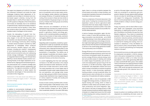SOUTH EAST EUROPE 2030 STRATEGY 18 19

The region has stepped up its efforts to improve the investment framework and tackle the major challenges hindering faster deployment of renewables and took steps to introduce more market-based support schemes, moving from the prevalent feed-in-tariffs (FITs) to feed-in-premium (FIP) systems (in Republic of North Macedonia and Croatia, for example). Due to non-existence of operational day-ahead and intraday markets in some economies and low liquidity in other, there are concerns about the auction scheme being a suitable model in the Region at the moment.

34 Impact of decarbonisation and RES integration in electricity and heat on new jobs creation is estimated in the Energy Community Secretariat's Study: Carbon pricing design for the Energy Community https://www.energy-community.org/dam/jcr:82a4fc8b-c0b7-44e8 b699-0fd06ca9c74d/Kantor\_carbon\_012021.pdf

Overall, the decoupling of growth from fossil-fuel energy supply and CO2 emissions is in early stages. In line with the long-term energy transition and decarbonisation objectives of the EU and Energy Community (EnC) including a climate-neutral European continent by 2050, deployment of renewables offers numerous socio-economic benefits beyond cost effectiveness, including job creation $34$ ; development of local manufacturing capacity; avoidance of health and environmental costs; and addressing climate change challenges.35 The development of integrated National Energy and Climate Plans (NECPs) in the EU Member States and EnC Contracting Parties of the region represents an essential tool for aligning and mainstreaming economy level policies into a coherent strategic plan based on a thorough scenario assessment and projections. The regional consultation on NECPs provides an opportunity to better exploit the competitive advantages of the economies and stimulate further integration.

Improvement in this area would most directly contribute to meeting the targets of SDG 7 – Affordable and clean energy.

#### **Environmental assets: taking note of household level**

#### In addition to environmental challenges at the global level, the quality of life of citizens related to

It is worth highlighting that the main hydrological feature in the SEE economies is the unequal spatial and temporal water distribution and significant lack of water resources in certain areas. The urban population has a much higher level of accessibility to public water supply systems than the rural population, and average water losses are very high, going up to 60% in some instances. Unequal water distribution has a negative impact on various aspects of society and usually puts heavy burden on women.

environment also concerns assets with direct impact on households, such as clean water, sanitation and hygiene, waste collection and disposal, and energy efficiency of household heating and cooling. Since access to these services tends to be more limited for the groups living in or at risk of poverty, it follows that those groups are similarly affected in SEE as well.

Water resources are embedded in all forms of development (e.g. food security, health promotion and poverty reduction), in sustaining economic growth in agriculture, industry and energy generation, and in maintaining healthy ecosystems<sup>36</sup>. Above all, the provision of clean water, sanitation and hygiene (WASH) services is a prerequisite for high-quality health care.

Degrading water ecosystems, caused by a growing demand for water by households and industry in particular, contribute to displacement, migration and poverty, with a disproportionate effect on the people in vulnerable situations, resulting in further exacerbation of inequalities. The relative use of water between households and industry respectively varies across SEE economies, depending on the level of industry as the share of economy.

Finally, air pollution, with its direct effect on people's health and subsequent socio-economic implications, is significantly worse for the people of the Balkans and Eastern Europe than their Western neighbours. Thus, there is a substantial potential in SEE to improve the effectiveness of air pollution-reduction policies, and enforcement of existing ones and to reduce greater reliance on solid fuel for heating and cooking. Coal consumption is ubiquitous. In fact, the Balkans region is home to many coal and lignite-fired units and to 7 of the 10 most polluting coal-fired power stations in Europe<sup>38</sup>.

Access to basic sanitary facilities (bath, shower, indoor flushing toilet) in SEE likewise varies. In the SEE economies, households not having access to these facilities change from 9% to 25.6% of total households (based on Eurostat 2018 data). Again, there is a strong correlation between the income levels and access to these facilities, and households living below the poverty threshold are most likely to face such issues.

There is a noted lack of financial resources in the water sector. Funding has increased since 2005, especially in terms of aid for agricultural water resources which has nearly tripled. However, official development assistance (ODA) in the water sector has remained constant at around 5% of total ODA disbursements.

In terms of energy consumption, again, the situation is varied. In some SEE economies, the energy consumption rose dramatically – up to 48.4% – while decreasing in most others, going as low as -23.6%. In some instances, more energy consumption might mean higher greenhouse gas emissions, due to the fact that the share of renewable energy is still low in the overall energy generation basket. This is particularly true of transport.

Energy efficiency is of crucial importance to minimise greenhouse gas emissions, which harm the environment and people's health. But equally important, energy efficiency reduces energy costs and can provide access to heating and cooling to a wider range of households, such as low income and subpopulation groups living at the risk of poverty. In all SEE economies, single-parent households<sup>37</sup> with dependent children fare worst when it comes to the ability to maintain household indoor warmth. In many economies, significant heating problems among households below the relative poverty level coincide with an increased proportion of households with elderly residents.

On average, 30% or more of households in SEE struggle with energy poverty, or absence of adequate heating and cooling, which is linked to problems in other areas such as health, environment, productivity and social integration. Specific issues in the area of energy poverty in SEE include: low level of political interest; higher share of people not categorised as poor but still unable to afford heating and cooling compared to oth-



er parts of Europe; higher occurrence of households not connected to an electricity grid compared to Western Europe; deteriorated buildings that do not allow for retrofitting; and limited social support for energy-poor households. The loss of income precipitated by the impact of the COVID pandemic is likely to worsen energy poverty levels.

Environmental economy provides great potential for employment and growth. In the EU, employment in this sector increased from 3.1 million fulltime equivalents in 2000 to 4.2 million full-time equivalents in 2017, while generating 698 billion in output and EUR 287 billion gross value added. There is little doubt that applying these principles in building green, resilient and low carbon economies in SEE would reinvigorate employment and help decouple growth from intensive use of resources.

Improvement in this area would most directly contribute to meeting the targets of SDGs 3 – Good health and well-being, 6 – Clean water and sanitation, 7 – Affordable and clean energy, 8 – Decent work and economic growth, and 11 – Sustainable cities and communities.

#### **Access to Justice: critical for improving quality of life**

Access to justice is an enabling condition for development, by establishing the basic social or-

<sup>35</sup> IRENA, "Cost-competitive renewable power generation: Potential across South East Europe", January 2017

<sup>36</sup> Sustainable Development Goal 6: Synthesis Report 2018 on Water and Sanitation.

<sup>37</sup> Note: single-parent households with dependent children are predominantly headed by women, adding a gendered (sex-disaggregated) aspect to health risk inequalities when it comes to maintaining warmth at home. 38 World Bank (2019) Western Balkans Regional AQM – AQM in Republic of North Macedonia; (October 2019)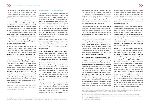SOUTH EAST EUROPE 2030 STRATEGY 20 20 21

der required for other development activities to proceed. It affects the citizens' ability to access health, employment, education and other fundamental areas by removing barriers to their use and facilitating unhindered economic development.

However, many people have difficulties in recognising the legal dimensions of their problems. Many do not pursue legal remedies and are unaware of legal assistance services or are otherwise unable to access these services. The inability to obtain legal and justice services is often found to have a disproportionate impact on the low-income and other disadvantaged groups, because they cannot afford the cost of the legal process. As these people cannot access justice, they have no way to make sure they are awarded their rights to education, employment and fair treatment and consequently improve their positions.

In addition to the economic and cost barriers in accessing justice, there is a wide range of structural, institutional and capability factors that impinge upon access to justice for citizens, such as complexity, time, individual capability, geographical and physical constraints. In order to improve access to justice, the following should be considered: enhancing physical access to courts; easing the cost of legal advice and representation; increasing access through provision of legal aid; increasing public confidence in the justice system; promoting legal awareness; and strengthening civil society as the foundation for promoting access to justice. In an environment pushing more digitalisation in all aspects of life, modern approaches to facilitate the access to justice should also include e-justice solutions. This could particularly be crucial for making cross-border/boundary justice available to citizens and businesses.

In the early period of the pandemic some economies in the Region extended bilateral assistance to each other, either in the form of medical and personal protective equipment supplies or facilitating urgent evacuation of their citizens abroad. In the Western Balkans, economies agreed to facilitate border/boundary measures and ease the cross-border/boundary transit of medical equipment, personal protective equipment and some other product groups through green lanes, based on extended electronic exchange of data. Such measures were much appreciated by all the SEE economies and the extension of green lanes and facilitated border/boundary crossing is intended to be sustained throughout the SEE Region<sup>39</sup>.

Improvement in this area would most directly contribute to meeting the targets of SDG 16 – Peace, justice and strong institutions.

39 Having in mind that border/boundary measures facilitation through the green lane concept is possible only in those instances complying with EU legislation related to customs procedures and exchange of customs data of EU Member States with other economies.

#### **Impact of the COVID-19 pandemic**

The outbreak of the COVID-19 pandemic has directly or indirectly affected all aspects of socio-economic life and development in the Region. At the time of writing (April 2021), nearly 120,000 people across the SEE have lost their lives. Containment measures have affected the modalities of work as well as devastating some critical sectors, such as tourism and transport. Contraction of GDP in the SEE for the last year is estimated at 1.9% on average, whereas recovery will depend both on the effectiveness of government and wider societal efforts and further developments regarding the pandemic.

Similar to other economies in Europe, the constant threat of the public health system being overwhelmed by the pandemic has been mitigated by economy-specific measures to ensure the operation of health sector, particularly its intensive care units.

With regard to the direct burden over public health care systems caused by the COVID-19, the SEE Region went through two peak periods since the start of pandemic, one in October-December 2020, and the second in March 2021. The latest available data from May 2021 reveals that the average number of confirmed COVID-19 infections per 1 million in SEE<sup>40</sup> is 62.41. Many economies in SEE have had a weak start in COVID-19 vaccination, with Serbia being an exception, and bilateral assistance within the Region once again provided much needed assistance. Nevertheless, vaccination rates remain low overall, and immunisation is slow in many of the economies.

Despite the lack of data, it is also assumed that majority of SEE economies had difficulties in ensuring equality in access to the COVID-19 related testing and therapy opportunities throughout its society, particularly to their population living in rural areas.

Due to COVID-19, digital technology has been transforming people's lives, societies, and economies with unprecedented speed and scale, delivering immense opportunities as well as daunting challenges. With the deployment of digital technology, the cooling energy demand of data centres will be increasing in the following years. Thus, energy efficiency of cooling systems needs to be considered as well as heating.

Like any other region in the world, the second direct policy area which was hit by the pandemic in the SEE is education, especially the primary and secondary education services. Many SEE economies have quickly redirected provision of public education services through online tools. However, the availability, access and quality of the online education services have been undermined due to the existing inequalities within each economy. According to the latest data received from UNICEF, 33.78% of students in Eastern Europe and Central Asia, the regional grouping in which majority of SEE economies are included, could not access remote learning programmes in their economies<sup>41</sup>. In particular, population groups living at risk of poverty and in rural areas have



struggled most in accessing education services in the pandemic conditions. Globally, three out of four students who cannot be reached by the remote learning programmes come from rural areas and/or belong to the poorest households, due to the lack of technological resources at home or because they were not properly targeted by the adopted policies.

Employment has likewise been greatly affected. Consequences of lockdown measures were felt especially hard in the services sectors. Given that all of the SEE economies are service-dominated, whereas majority relies on surpluses from tourism services trade, the restrictions have caused a significant economic downturn in addition to the overall economic pressure on other sectors, the contraction of which varied based on their level of vulnerability to social distancing and lockdown measures.

Almost all of the employment gains recorded in the last decade have been pushed back. According to the Labour Force Surveys for 2020, the number of people in employment in SEE was reduced by approximately 1.44 million compared to the previous year. The regional average unemployment rate reached 11% in SEE<sup>42</sup> in 2020 and the unemployment rate for the Western Balkans (excluding Kosovo\* due to unavailable data) was even higher at 14.4%. Employment losses also translated into rising inactivity. Active labour force shrunk by almost 1.6 million people in the Region, which resulted in a reduction of the labour force participation rate by 1.7 percentage points in 2020 to 51.5 per cent<sup>43</sup>. Besides, working hours loss due to the COVID-19 related measures in SEE equal to 6.4 million full time employment jobs (based on 40 hours work per week). $44$  In addition to the inequalities between employed and unemployed, significant surge in working time loss widens inequality among employed people.

<sup>40</sup> Our world in data, https://ourworldindata.org/explorers/coronavirus-data-explorer?zoomToSelection=true&time=40..latest&pickerSort=asc&pickerMetric=location&Metric=Confirmed+cases&Interval=7-day+rolling+average&Relative+to+Population=true&Align+outbreaks=false&country=BIH~ALB~BGR~HRV~GRC~OWID\_KOS~MDA~MNE~MKD~ROU~SRB~SVN~TUR 41 UNICEF, COVID-19 and children - UNICEF DATA

<sup>42</sup> World Bank. The regional average is calculated according to the available data for SEE economies except Kosovo\* the data of which in 2020 is not available in World Bank. The latest available unemployment data for Kosovo\* is 25.7% in RCC ESAP Observatory)

<sup>43</sup> ILO, Covid-19 and Labour Statistics

<sup>44</sup> https://ilostat.ilo.org/topics/covid-19/#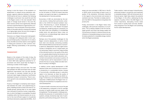SOUTH EAST EUROPE 2030 STRATEGY 22 23

Having in mind the impact of the pandemic on employment is unequal across population subgroups, regional collective thinking in the post-COVID period will have to address the following challenges in particular: how would the work life in the Region evolve in the next decade? What types of change would remain in the work life, which sectors will be more significantly affected and how could that feature in regional policy considerations? How would public financing sustainability of the public pension schemes be reached in an aging region given the work life changes in the post-pandemic environment?

Moreover, as a Region facing stark demographic challenges with adequate skills in short supply and limited quality of education for its labour force, the SEE economies need to come together in finding joint solutions to their common challenges affecting sustainability in the upcoming decade.

#### **Assessment**

Based on the analysis of the state of play, the assessment would suggest a number of areas in which SEE holds significant potential for improvement and which would help the Region in achieving a number of SDG targets.

Intra-regional trade is one such area. The trade links between the SEE economies have not seen significant improvement over the past decade, and access to overseas markets has for the most part been largely hindered by insufficiently developed transport connectivity. There is economic growth to be unlocked by tapping into that potential.

Poverty in the Region is marked by stark inequalities between the under- and outperforming regions, impeding access to basic services for vulnerable groups, placing them at an even higher risk in the event of natural or human-made disasters, to which the Region is susceptible. Prevalent modalities within the financial sectors do not allow for the most efficient support to households and the private sector, especially the SMEs. All of

these factors are likely to become more relevant as the full extent of COVID-19 impact becomes evident, and need to be taken in consideration in the development of recovery policies.

Economies of SEE are dominated by the services sectors, making them particularly vulnerable to the COVID-19 induced lockdown measures. Manufacturing is overall developed to a lesser extent than in the Western European counterparts, rendering imports a necessity. On the other hand, the availability of considerable arable lands and agricultural labour does not translate into correspondingly high outputs due to efficiency problems.

Perhaps one of the greatest challenges for the Region concerns depopulation, in terms of both brain drain and naturally contracting societies. With immense effects across the socio-economic spectrum, depopulation requires urgent action. Causes of emigration are to a large extent, but not exclusively, linked to economic opportunities of the individual and his or her quality of life, which is in turn greatly determined by the access to and quality of basic services: health, education, environment and sanitation and access to justice. All of these factors call for improvement in order to prevent the loss of young, skilled and able members of society in the Region.

In addition, human capital development in SEE requires further work to enhance socio-economic productivity in a sustainable manner. Access of economically vulnerable groups to education needs to be improved, as does the quality of learning, which is currently below the OECD average. Furthermore, low investments and limited capacities in R&D&I prevent the Region from unlocking the full potential of competitive and innovative development.

To improve health outcomes and narrow the gap in life expectancy compared to the EU average, provision of quality health services needs to be strengthened. The demographic challenge exacerbates the pressures on sustainability of social systems, already strained by high rate of unemployment, particularly among youth. Chronic diseases are more prevalent in SEE than in the EU or OECD, which can be linked, at least in part, to quality of life standards. Particularly important in this regard is the environment and access to sanitation services. The latter is notably restricted in the SEE for the populations living below the poverty line.

Finally, environment in the Region faces many challenges, with particular emphasis on air pollution. This is directly related to the firm link between growth and fossil-fuel energy supply and CO2 emissions inherent in intensive resource use. Utilisation of renewable energy sources is low and far below potential for renewable energy creation which the Region possesses.



Trade creation, trade and export diversification, enhanced transport connectivity and investment in renewable energy in SEE with enhanced role of financial sector might help unleash the potential of the Region. In this effort, addressing the key aspects of quality of life in the SEE Region is of critical importance, decoupling income levels from access to quality basic services, decelerating emigration from the Region and sustaining human capital development.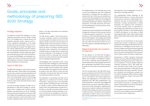The implementation of the Strategy will go hand in hand with establishing open and transparent mechanisms of dialogue with the relevant civil society, think-tank community, and academia, so as to promote their engagement and increase the relevant stakeholders' awareness of the Region's sustainable development agenda. Dialogue with parliaments of the SEE economies will furthermore be established to enhance political ownership of the endeavour.

The SEE economies anticipate that the SEE 2030 Strategy will contribute to their long-term efforts in enhancing regional cooperation in the implementation of UN Sustainable Development Goals and the 2030 Agenda. The Strategy will facilitate their commitments to undertake regional actions, built upon SEE economy level priorities so as to reach the regional sustainable development-related goals.

#### **Regional ownership and a bottomup approach**

The key element of the SEE 2030 Strategy is its full and total regional ownership. Leaders of SEECP gave mandate to the Regional Cooperation Council, a regionally owned organisation, to lead the preparation of the Strategy, while the Region, represented in the SEECP format, has given its approval to each step of the preparation process.

The first Concept Note of the SEE 2030 Strategy was accepted by the RCC Board in May 2020, having been developed within a structured process of consultations with relevant regional initiatives and organisations on the basis of their experience with SEE 2020 implementation and recommendations. In particular, they flagged the potential socio-economic and political repercussions of the COVID-19 pandemic, heightening the importance of political visibility and outreach of the SEE 2030 Strategy, the political commitment of SEE economies, coordination among regional organisations in light of many cross-cutting areas and the organisations' institutional memory

During the preparation of SEE 2030 Strategy, utmost attention was given to complying with the relevant methodology of the UN for the preparation of National Voluntary Reviews.<sup>45</sup>

ed Nations



and expertise, and the engagement of local implementers in Strategy execution.

The Substantiated Outline presented to the SEECP Political Directors in January 2021 served as the basis for intensive in-depth bilateral consultations with each of the participants' representatives, including representatives of public authorities and respective SDG Coordinators. The priority thematic areas of intervention of the Strategy were selected on the basis of National Voluntary Reviews of SDG implementation of SEECP participants. On this basis, 13 SDGs were selected (SDG1, SDG3, SDG4, SDG5, SDG6, SDG7, SDG8, SDG9, SDG10, SDG11, SDG13, SDG16, SDG17).

To ensure the all-inclusiveness of the process and promote a bottom-up approach as another principle of the Strategy, two Workshops with representatives of the Region's private sector, civil society, academia and think tanks were organized during May 2021, led by TEPAV and ELIAMEP from the current and incoming SEECP Chairmanship in Office capitals, Ankara and Athens, respectively.

Secretariats of CEFTA, Transport Community, Energy Community, DPPI SEE, Regional Rural Development Standing Working Group in SEE, Centre of Excellence in Finance, Western Balkans 6 Chambers Investment Forum, SEE Health Network, and NALAS were invited to the consultations during the preparation of SEE 2030 as well as the European Commission and WHO. The written comments and contributions received from ILO, UNECE, World Bank, IRENA, OECD, European Training Foundations, Energy Community, DPPI, CEF, and SEEHN.

The final approval and endorsement will be sought by the RCC Annual Meeting and by the SEECP at the June 2021 Summit, respectively.

### **Goals, principles and methodology of preparing SEE 2030 Strategy**

#### **Strategy objective**

The objective of SEE 2030 Strategy is to reach regionally sustainable economic growth shared by all. The Strategy aims to reduce poverty and inequality, empower women, improve social inclusion, decelerate depopulation of the region through enhancing the quality of life for its citizens and speed up the green and digital transition, without widening socio-economic inequalities and disrupting competitiveness and private sector development, through a genuinely regionally owned political process. It will provide benefits across the SEE Region and accelerate convergence with the EU of those economies which seek integration into the EU, thereby strengthening the foundations of that process.

#### **Vision of SEE 2030**

The SEE 2030 Strategy is a joint call for action by all SEE economies. The priorities of this Strategy are built upon domestic priorities identified by all SEE economies and clustered into three dimensions. The core principle of action in this Strategy is to support designing regional policies for the whole of society and to prioritise actions to leave no one behind.

The SEE economies therefore consider the implementation of SEE 2030 Strategy as contributing to life in a Region free of poverty, hunger, disease, and where all life can thrive. Therefore, the economies will make efforts to transform SEE into a Region with equitable and universal access to quality education at all income levels of their societies, adequate health care and social protection, and high environmental and sanitation standards of living.

The SEE will be a region in which every economy enjoys sustained, inclusive and sustainable economic growth and decent work for all. In this regard, the SEE economies will make efforts to establish better trade and transport connectivity between their counterpart economies and with the EU as well as to outreach overseas through enhancing trade connectivity and utilising all available modes of transportation to exploit their economic potentials. In this endeavour, the SEE economies commit to decouple their economic growth from carbon emissions through increased use of renewable energy potentials.

Acknowledging that sustainable human, social and economic life in the Region is under the threat of natural disasters, the SEE economies will make efforts to keep all human habitats safe, resilient and sustainable. In this regard, the economies will be ready to pool their efforts to share the risks of disasters and prevent their destructive impact from pushing societies into poverty.

The application of technology and wider use of digital tools to contribute to the efforts of SEE economies in reducing poverty and inequalities will be utilised in facilitating access of the whole of society to public services determining their quality of life. The implementation of green transformation in the SEE economies will be assured in a way that neither increases inequality or poverty, nor enhances the divergence in human development between the SEE and other regions of Europe.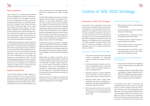#### **Policy Coherence**

Policy Coherence for Sustainable Development (PCSD) is recognised as a means of implementation in SDG Target 17.14. It is an approach and policy tool for integrating the economic, social and environmental dimensions of sustainable development at all stages of policy making. In practice, this entails fostering synergies across policy areas; balancing domestic, regional, and international objectives; and addressing the transboundary and long-term impacts of policies. Factors influencing the magnitude of the spill-over and transboundary effects include internal policies; trade policies; foreign and security policy; and international development cooperation.

The OECD Recommendation on Policy Coherence for Sustainable Development (PCSD), adopted in 2019, calls for strong institutional mechanisms and evidence-based analytical tools. Collaboration and coordination within and between economies, across economic, social and environmental dimensions, across levels of government, and with other stakeholders (e.g. civil society and business) are key features of PCSD. The SEE 2030 Strategy places great importance on PCSD. The OECD PCSD Framework can be adapted to diverse economy level/regional and institutional contexts and allows users to develop their own strategy for enhancing policy coherence.

#### **Regional cooperation**

The SEE 2030 Strategy considers regional inclusive cooperation as key to the success in reaching its targets jointly committed by the SEE economies. As transnational, global, and regional challenges become increasingly complex and intertwined, proven by the current pandemic, they

pose a growing threat to sustainable development that no single economy in SEE can tackle alone.

The SEE 2030 Strategy will serve as an inclusive regional strategic initiative for dialogue and cooperation on sustainable development issues with a direct impact on socio-economic development agendas of the SEE economies. Yet closer coordination between international and regional organisations, governments and civil society, and all other relevant stakeholders is also needed to create new synergies, while ensuring an effective division of labour and efficient use of resources. Only by working together will the SEE 2030 Strategy succeed in bringing peace and prosperity to people in every corner of the SEE Region.

The SEE 2030 Strategy is expected to strengthen regional cooperation in priority sectors as identified by participating economies, provide systematic, more efficient and coordinated support for participating economies and enable more effective knowledge-sharing and peer learning among them.

Opportunities for regional cooperation are to: (a) develop integrated approaches, models and tools with respect to each economy policy space and leadership; (b) support regional approaches to priority areas of intervention through the development of policy tools, methodologies and approaches. Comprehensive implementation of the 2030 Agenda for Sustainable Development will require partnerships between economies and across sub-regions.

Political commitment to regional cooperation will therefore be a cornerstone for the successful and efficient implementation of the Strategy.

### **Outline of SEE 2030 Strategy**

#### **Dimensions of SEE 2030 Strategy**

On the basis of the assessment of the current state of play and identified needs and potentials of the Region, of economy level priorities as expressed in the National Voluntary Reviews and in the set of bilateral consultations with each of the SEE economies, and of inputs provided by the relevant non-governmental stakeholders, the SEE 2030 Strategy was developed across three dimensions and additional cross-cutting areas. The three dimensions include thirteen priority areas of intervention, providing a scope for an integrated approach to address sustainability issues, as follows:

#### **Dimension I: Prosperity of the SEE Region**

- 1. Promoting economic growth through trade creation, sustainable and responsible tourism and enhancing transport connectivity
- 2. Promoting investment, research and innovation in renewable energy to increase the share of carbon free energy supply and improve energy efficiency
- 3. Enhancing capacity to improve detection and risk reduction of natural disasters to minimise their impact on economic growth
- 4. Reducing digital divide through better broadband connectivity, development of digital skills and accelerated digitalisation of industry and public services
- 5. Enhancing public-private sector partnership and role of financial sector/financing for development for the implementation of SDGs in SEE



#### **Dimension II: People of the SEE Region**

- 6. Better utilisation of human capital potential of the SEE Region
- 7. Supporting diaspora to promote economic activity in the SEE Region
- 8. Facilitating access to education and supporting improvement of its quality
- 9. Facilitating access to health and supporting improvement of its quality
- 10. Improving equal access to and quality of justice and public services in SEE
- 11. Improving access to and quality of environment/sanitation services and affordable, safer and healthier housing

#### **Dimension III: Peace and Partnerships in the SEE Region**

- 12. Supporting the institutional strengthening for smart implementation of the SEE 2030 **Strategy**
- 13. Facilitating creation of sustainable funding mechanisms to support implementation of SEE 2030 Strategy while respecting development cooperation effectiveness principles of transparency and accountability.

The thirteen priority areas of intervention are complemented by economy level and regional actions, as well as flagship initiatives and targets. The actions aim at providing guidance and inspiration for the most effective implementation of the Strategy. European Union policies, strategies and actions are taken into consideration. Not all economies may have the necessity or the resources to undertake all the proposed actions;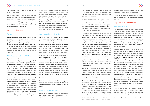SOUTH EAST EUROPE 2030 STRATEGY 28 29

the proposed actions need to be adapted to economy level needs.

The expected impacts of the SEE 2030 Strategy are as follows: (a) strengthened regional cooperation in priority sectors as identified by participating economies; (b) systematic, more efficient and coordinated support for participating economies; (c) more effective knowledge-sharing and peer learning among economies.

#### **Cross-cutting areas**

#### **Poverty**

SEE 2030 Strategy will consider poverty as one of the major regional concerns horizontally affecting all aspects of life. In this regard, the main guiding principle the Strategy is to "leave no one behind". Therefore, any action that would be considered in the context of this Strategy will take into consideration its impact on poverty and inequality and prioritise those actions that aim to reduce it.

#### **Digital transformation of SEE Region**

Digital transformation is an essential change in the process of using digital technologies that can generate great benefits regarding macroeconomic development. This process is no longer a choice but a fundamental prerequisite for economic growth. The COVID-19 pandemic underpinned even more the importance of a digital society, i.e., broadband infrastructure development, upgrade of digital public services, digital upskilling to allow benefits of digitalisation for all citizens, regional cyber resilience, deployment of new technologies, etc. Embracing digital transformation by all key stakeholders in SEE can help the whole region grow. However, if not carefully calibrated, digital transformation may widen inequalities between different subpopulation groups according to their level of income, age, education and place of living. Therefore, the SEE 2030 Strategy would consider both opportunities and risks which digital transformation may offer.

In this regard, the digital transformation will have a horizontal role particularly in facilitating access to education, and health services to the population subgroups living in or at the risk of poverty. The Strategy 2030 would prioritise regional actions supporting digital transformation in a way that reduces income inequalities-related limitations to access education and health services. Wherever justifiable and feasible, all other policy areas foreseen by the Strategy would also comprise digital transformation instruments.

#### **Green transition of SEE Region**

Having considered the main objectives of the EU Green Deal and the Green Agenda of Western Balkans, the SEE 2030 Strategy considers environmental transition within each dimension as a cross-cutting policy area. The socio-economic impact of green transition on different population subgroups in SEE, as well as the overall impact on welfare of these economies would be the guiding principle in the prioritisation of actions.

In parallel to such horizontal considerations, SEE 2030 would provide a vertical area of intervention to renewable energy, with a set of actions required to improve the quality and availability of disaggregated statistics, together with capacity building in developing bankable investment projects including support for development of local production and technologies for the SEE. Another set of vertical actions toward enhancing the role of the private sector, particularly financing for development, would be foreseen to improve the quality and access to environment and sanitation services.

Furthermore, actions on spatial planning and sectoral cooperation in environmental transition would be prioritised in the dimension related to People.

#### **Public-private partnership**

Similar to the UN 2030 Agenda for Sustainable Development, businesses would be playing an integral role in achieving sustainable development and targets of SEE 2030 Strategy. Each company – large and small – is making incredible contributions towards shared economic, social, and environmental progress.

In addition, the business sector plays an important role in respecting human and labour rights as determined by the relevant UN and ILO conventions as well as the relevant European legislation.46 In this regard, the implementation of SEE 2030 could not be successful without active participation of the private sector.

Furthermore, the private sector participating in the implementation of UN Agenda 2030 as well as SEE 2030 Strategy is of crucial importance for mobilising funds in line with social and economic goals, particularly the ones related to education, health, environment and sanitation services as well as renewable energy, natural disaster risk reduction and sharing, spatial planning and localisation of SDGs implementation. Needless to say, the private sector is at the core of human capital development, research and innovation efforts of the Region. Furthermore, cooperation with private sector is of critical importance for decelerating depopulation, as the strong emigration would leave the private sector not only without necessary skills pool but also narrow its demand base and eventually shorten its enterprise life-term.

Private sector participation should be seen as a complementary resource to the public financing for the implementation of UN SDGs as well as SEE 2030 Strategy in parallel to its raised awareness, shared responsibility and responsiveness to the SDGs implementation.

As described by the UN, the private sector participation and contribution to the implementation of UN SDGs and SEE 2030 would be through the following four means: core business operations; value chains; social investments; and advocacy efforts. In this endeavour, the People-First approach to public private partnerships will be encouraged in line with the relevant EU and UN



policies/ standards and guidelines on public procurement, corruption, and transparency.

Therefore, the role and participation of private sector in all dimensions and actions would be sought.

#### **Aspects of implementation**

#### **Governance structure**

The governance structure for implementing SEE 2030 Strategy will be composed of two main actors: (i) the public administrations of SEE economies represented by National Coordinators of SDGs (or other structures tasked with implementing SDGs and Agenda 2030, in accordance with the respective arrangements in each of the SEE economies) appointed by each participating economy of the SEECP, and (ii) the Regional Cooperation Council.

Public administrations are the cornerstone of the SEE 2030 Strategy since the success of SEE 2030 is to be built upon the priorities and results of implementation of SDGs by each SEE economy according to their respective strategies. The SEE 2030 Strategy entails exclusively regional priority areas of intervention. However, most of the actions put forward by the Strategy envisage policy response by the appropriate institutions and agencies in SEE economies. The implementation will be steered by the SEE economy action plans at the macro-level and, whenever required, the SEE 2030 Strategy priorities and actions would be adjusted accordingly. This process at the economy level will require high level of intragovernmental coordination to be ensured by the National Coordinators of SDGs. The National Coordinators will also serve as contact points for all issues pertaining to SEE 2030 Strategy with the RCC.

The RCC will coordinate and facilitate the overall effort to implement SEE 2030 in close consultation with National Coordinators, providing, where and if needed, political, coordination, technical

<sup>46</sup> Guiding Principles on Business and Human Rights, Implementing the United Nations "Protect, Respect, and Remedy Framework" United Nations Human Rights Office of the High Commissioner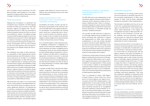and, if possible, financial assistance. The RCC Board provides overall guidance on the implementation of regional actions stemming from this Strategy in line with its steering role.

#### **Measuring progress**

Keeping track of progress in a systematic and transparent way is essential. The 2030 Agenda provides the follow-up and review at each SEE economy, regional and global level. The participating economies of SEE are committed to measure progress towards the SDGs, to ensure accountability to citizens. The Agenda includes 17 goals and 169 underlying targets for which the UN Statistical Commission in March 2016 agreed an indicator framework comprising 230 indicators as a practical starting point for global monitoring. The European Union has also produced its own list of 100 indicators which are particularly relevant to EU Member States (EU SDG indicator set).

The availability and quality of data, particularly comparability of data respecting the relevant data standards per each SDG indicator is of particular importance for the SEE. It is considered that the implementation of SEE 2030 would offer an additional layer of synergy and promote the importance of quality and availability of data comparable at the SEE level. In response, the SEE 2030 would act as a catalyst and propose establishing a regional network of statistical offices and provide the statistical offices with a platform for discussion and exchange of information and best practices, while ensuring that this cooperation does not impose significant additional costs and burdens on SEE statistical offices.

SEE economies may report on an annual basis to RCC on the progress in the implementation for each of the priority areas according to the indicators agreed per dimension. The selected set of indicators, including their possible disaggregation, should not impose an additional administrative burden and cost on statistical offices and other data producers while ensuring that double reporting is avoided. The RCC, through an annual Implementation Report, will facilitate regional

progress while taking into account inputs provided by each participating economy and make recommendations.

#### **Budget responsiveness of SEE economies to SDGs and development cooperation effectiveness**

Accessibility and quality of public services affecting the overall quality of life would be at the core of the SEE 2030. In this regard, private sector participation and particularly the financial sector would have a supporting hand in the efforts to improve quality and enhance accessibility. Though, it may not undermine the absolute weight of a public budget and its responsiveness to SDGs as the primary source of funding.

As a connected aspect to SDG responsive public budgeting, transparency in budgeting is of equally critical importance. Respecting international standards and codes in budgeting and its transparency would not only enhance efficiency but also facilitate regional cooperation in this regard. Therefore, the SEE 2030 is considered an appropriate horizontal instrument to advocate for enhancing transparency in budgeting at central level, the importance of having it aligned with the international standards and rules as well as for raising awareness to increase public budget responsiveness to SDGs.

In parallel, the SEE 2030, to be built upon development cooperation effectiveness principles, would make efforts to enhance the inclusiveness and responsiveness of donor financed assistance to the prioritisation of development cooperation recipient economies according to SDGs, and to increase participation of all other relevant stakeholders in donor planning and coordination at least at the regional level. Thus, transparency and responsiveness to SDGs in public budgeting, as well as donor-financed assistance, would be very much complementary to the success of SEE 2030.

#### **Facilitating the creation of sustainable financing mechanisms for the implementation**

The SEE 2030 aims to be complementary to the mainstream regional initiatives predominantly financed by the EU institutions, based on EU accession-related priorities. There is a strong interrelation between EU acquis and the UN SDGs and the Agenda 2030, though the EU institutions' financial assistance is channelled through the accession-related prioritisation.

This provides the SEE 2030 with an opportunity to leverage additional funds available from all donors prioritising their assistance to support the implementation for SDGs, which would be complementary to the ones already allocated for sectors critical for the EU alignment. It is important to note that UN SDGs are of wider scope than the EU acquis with more socio-economic emphasis and therefore need further assistance in the areas that are prioritised by the SEE economies but receiving less donor support.

Furthermore, it would create a chance for the SEE Region to emphasise the importance of Development Cooperation Effectiveness and to establish a regional mechanism to pool these funds, if available for the implementation of SDGs, based on this principle. In addition to the development cooperation effectiveness principles some other regional selectivity criteria, such as complementarity to EU financed programmes, would also be included whenever appropriate.

Thus, it is proposed to create a SEE Regional Project Facility to attract funds from various donors to finance regional, sub-regional, economy level, and local SDG-related projects. In the implementation of such project facility, the SEE 2030 may provide its full support with ensuring policy ownership secured by its management structures, beneficiary side prioritization of areas via its technical level bodies, and contextualisation through its horizontal intervention areas (enhanced data quality and availability, civil society dialogue backed by think-tanking capacity, and budgetary transparency).



#### **Stakeholder engagement**

The involvement of civil society, private sector and local authorities is extremely important for the successful implementation of SDGs. Many aspects of SDGs could be better addressed through the localisation of their implementation.

The principle of subsidiarity will thus act as one of the main corresponding implementation principles of the SEE 2030 for a fact-based localisation, where appropriate. In this regard, the management structures of SEE would offer ample space for the involvement of private sector, academia, and local authorities. If agreed, sub-structures for steering the relevant parts of SEE 2030 would be recommended to these stakeholders for them to take the lead.

Moreover, particular effort is to be made to enhance the role and participation of think-tanks of the Region in the SEE 2030. The SEE 2030 could be instrumental in utilising the collective capacity of think-tanks by connecting them with the regional statistics and policy prioritisation effectors. At the same time, through enhanced regional dialogue, peer-to-peer reviews and other types of exchange, regional experiences could then be localised through think-tanks. It is safe to argue that there is a significant level of policy formulation capacity and advising capacity of think-tanks so far untapped in the SEE Region. Some of these think-tanks have strong access to donor-financed technical assistance and accumulated world-level experience. They have also substantial capability in doing policy-level research and recommendation. Taking actions to incorporate such capacity into the regional priorities of SEE 2030 would be extremely helpful in creating synergy between regional, sub-regional, economy-level and local initiatives and actions.

#### **Engagement of parliaments**

The role of Parliaments and their involvement in securing political ownership is one of the key factors. In each SEE economy, the respective parliaments are already involved in the implementation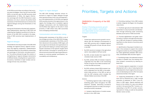SOUTH EAST EUROPE 2030 STRATEGY 32 33

of UN SDGs as priorities according to their economy level strategies. Given the fact that the SEE 2030 is to be built upon the SEE economy-level implementation of SDGs, the regular information exchange with the SEE Parliaments is seen necessary not only to secure the political level awareness of the Parliaments but to enhance the regional dialogue among the Parliaments of the SEE 2030.

Having the Parliaments informed with substantiated implementation reporting of SEE 2030 and collecting their feedback would enrich further extension of the SEE 2030 in parallel to the deepening of SEE economy-level implementation of SDGs.

#### **Regional dialogue**

The backbone and a key principle of the SEE 2030 Strategy are regional actions, regional connections and regional cooperation. Implementation will therefore feed from the solidarity, networking, and exchange of information and good practices. This will be achieved through the creation or strengthening of regional dialogue mechanisms at different levels, including the non-governmental sectors, facilitation of peer reviews and exchange of know-how, and others.

#### **Region-to-region dialogue**

The SEE 2030 Strategy attaches utmost importance to region-to-region dialogue through which good practices, know-how and experiences in the implementation of UN SDGs and Agenda 2030 would be shared at the regional level. In this regard, the Strategy aims to establish regional dialogue mechanisms with the Mediterranean and the Black Sea regions as the ones in close proximity of SEE where many SEE economies have overlapping memberships.

#### **Communication and awareness raising**

Raising public awareness of the SDGs is one of the strategic priorities of this SEE 2030 Strategy. Increased public awareness of the SDGs, and of their relevance to the societies of SEE region, will encourage more individuals and organisations to get involved with helping to achieve these goals. Greater awareness of the specific targets which SEE economies committed to achieving will reinforce economy level SDG reporting/review processes by ensuring greater participation, accountability and transparency.

#### **DIMENSION I: Prosperity of the SEE Region**

**Priority 1: Promoting economic growth through trade creation, sustainable and responsible tourism and enhancing transport connectivity**

#### Targets:

- I. Sustain per capita economic growth in accordance with the individual circumstances of each SEE economy with a targeted regional average GDP growth of 6 per cent per annum in the SEE
- II. By 2030 record an increase in the agriculture sector value added to GDP per worker
- III. By 2030, at least double intra-regional merchandise trade volume in SEE
- IV. By 2030, achieve 40% of increase in exports originated from the SEE to the Contracting Parties of the Pan-Euro Med Convention other than the SEE economies
- V. By 2030, achieve at least 20% increase in exports originated from the SEE to the preferential trade partners of the SEE as well as with the GSP schemes which includes the Western Balkan economies of the SEE

#### Actions:

**1.1.** Facilitating regional trade in SEE through extending green lanes throughout the SEE whenever possible, eliminating procedural and regulatory barriers to trade, and using international and EU standards

**1.2.** Systemic identification of market access barriers in intra-SEE trade



**1.3.** Promoting creating of intra-SEE clusters to better integrate the Region into the global value chains

**1.4.** Facilitate agricultural trade between SEE economies in a way to promote rural development through enhancing trade connectivity between poorer parts of SEE economies

**1.5.** Promote digitalisation and green transformation in industry and agricultural production in SEE with the goal of creating multiplying effects to other sectors of economy (such as tourism)

**1.6.** Identification of key export markets to access in the overseas to support the creation of regional clusters by the existing preferential trade agreements between SEE economies, and between SEE and other regions

**1.7.** Facilitating trade in the selected transport corridors to benefit from the existing maritime transport connectivity by reducing release time

**1.8.** Promote regional cooperation in tourism development with a view of reducing barriers to development of joint regional tourism products and developing tourism offer that spans several economies in the region

**1.9.** Supporting development of TEN-T network and its indicative part in SEE, through promotion of extension of TEN-T core corridors to SEE region. Special emphasis will be put on the creation of a new core network corridor in the upcoming TEN-T revision, corresponding to the RFC 10 corridor connecting Austria to Turkey, as well as the potential Adriatic-Ionian corridor.

### **Priorities, Targets and Actions**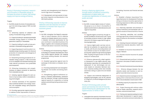

**Priority 2: Promoting investment, research and innovation in renewable energy to increase the share of carbon free energy supply and improve energy efficiency** 

#### Targets:

VI. By 2030, double the share of renewable energy in the total energy supply of SEE recorded in 202047

#### Actions:

**2.1.** Enhancing capacity of collection and quality of renewable energy statistics

**2.2.** Capacity building for developing bankable renewable energy projects to increase the generation capacity in renewables

**2.3.** Capacity building for public private partnerships in renewable energy generation

**2.4.** Supporting research and innovation in renewable energy including support for the local production of components and emergence of local value chains

**2.5.** Streamlining licensing procedures for renewable energy projects in SEE economies so as to expedite and facilitate licensing and make relevant procedures more predictable and transparent

**2.6.** Enhancing transparency and competitiveness of support schemes for electricity from renewable sources

**2.7.** Initiating regional dialogue for joint actions to improve labour skills in renewable energy technologies

**2.8.** Increase awareness of the population about potential benefits from energy transition and renewable energy self-production and consumption

**2.9.** Providing appropriate regional platforms to address further improvement of interconnectivity and strengthening local infrastructure for high share of renewables

**2.10.** Development and improvement of energy market integration and liberalisation in line with the EU policies

**Priority 3: Enhancing capacity to improve detection and risk reduction of natural disasters to minimize their impact on economic growth**

#### Targets:

VII. By 2030, strengthen the Region's preparedness to natural disasters and its collective capacity to mitigate relevant socio-economic disaster risk drivers (particularly for the poor and those in vulnerable situations) in the Region together with increased participation of the private sector in economic risk sharing

#### Actions:

**3.1.** Developing and mainstreaming a Regional Strategy for Disaster Risk Reduction which may include regional disaster risk mapping and assess existing disaster risk reduction programmes

**3.2.** Establish appropriate regional tools for exchange of information on disaster risk reduction

**3.3.** Promoting development and strengthening disaster risk transfer and sharing mechanisms

**3.4.** Strengthening regional institutional capacity in disaster preparedness, prevention and risk reduction through institutionalising regional capacity for cooperation on training systems and sharing training centres and capacities

**Priority 4: Reducing digital divide through better broadband connectivity, development of digital skills and accelerated digitalisation of industry and public services**

#### Targets:

VIII. By 2030, increase digital access of vulnerable groups so as to share in the benefits of digital transformation to alleviate poverty and regional inequalities

#### Actions:

**4.1.** Upgrade digital connectivity through improved broadband infrastructure with a goal of providing universal access to high-speed internet for all citizens supported through enhancing digital skills

**4.2.** Improve digital public services and enable the full potential of e-government and e-health, with the aim of providing faster and more efficient access for all citizens and improving their uptake through enhancing digital skills, including through provision of the necessary ICT infrastructure

**4.3.** Enhance cybersecurity, adapt regulatory frameworks to new digital security risks, and develop capacities as a prerequisite for deployment of new technologies and services based on innovative technical solutions. Capacity building action also includes awareness raising on cybercrime and related crimes.

**4.4.** Support and incentivise deployment of emerging technologies, such as 5G, Internet of Things (IoT), Artificial Intelligence (AI), block chain, etc.

**Priority 5: Enhancing public-private sector partnership and role of financial sector/financing for development for the implementation of SDGs in SEE**

#### Targets:

IX. Strengthen the capacity of domestic financial institutions to encourage and expand access



to banking, insurance and financial services for all

#### Actions:

**5.1.** Establish a Bankers Associations' Dialogue Mechanism for Development Financing, aiming to introduce innovative approaches in financing responsive to SDGs and the objectives of SEE 2030

**5.1.1.** Improving capacities and practices of finance institutions and businesses with regards to access to finance and micro-finance

**5.1.2** Improving capacities and providing training programmes, aimed at enhancing access to finance for the transition to the green economy

**5.1.3.** Orienting financial institutions' support programmes towards education, health and environment

**5.2.** Establish an Insurance Associations' Dialogue / Network

**5.2.1.** Promote inclusive insurance for people and SMEs

**5.2.2.** Disseminate best practices in inclusive insurance in the areas of health and environment

**5.2.3.** Promote financial and insurance literacy

**5.2.4.** Enhance dialogue between the two networks (banks and insurers) to work together to provide inclusive insurance

**5.2.5.** Expand insurance coverage as risk mitigating action to decrease the economic cost which natural disasters would cause in SEE

**5.3.** Building capacity for preparation of bankable projects

**5.3.1.** Project financing with minimum collaterals for health, education, research and innovation, and environment loans

**5.3.2.** Training and capacity building for bankable project development in regional organisations, and central and local authorities, for

<sup>47</sup> Energy Community Contracting Parties of SEECP have committed to achieve the renewable energy target set out by the Ministerial Council Decision, as a result of adopting the EU Governance Regulation 2019/1999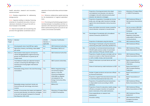SOUTH EAST EUROPE 2030 STRATEGY 36 37

health, education, research and innovation, and environment

**5.3.3.** Develop programmes for addressing energy poverty

**5.3.4.** Capacity building to develop financing schemes for household renovation, that provide basic standards of living (in line with actions foreseen in the GAWB)

**5.4.** Improve local public service planning and provision through better coordination and co-

operation of local authorities and local stakeholders

**5.4.1.** Enhance collaborative spatial planning for the development of regional specialisations

**5.4.2.** Promoting and facilitating regional partnerships between municipalities and their cooperation with international organisations for better spatial planning (that accounts for education, environment and health)

#### **Indicators:**

| Priority /<br><b>Target</b> | Indicator                                                                                                                                                                      | UN SDG<br>Indicator, if<br>applicable | Sources of verification                                                                                                                                                                          |
|-----------------------------|--------------------------------------------------------------------------------------------------------------------------------------------------------------------------------|---------------------------------------|--------------------------------------------------------------------------------------------------------------------------------------------------------------------------------------------------|
| 1/i                         | Annual growth rate of real GDP per capita                                                                                                                                      | 8.1.1.                                | <b>SEE Statistical Authorities</b>                                                                                                                                                               |
| 1/ii                        | Agriculture, forestry, and fishing, value added<br>per worker                                                                                                                  | n.a.                                  | World Bank, OECD, ILO                                                                                                                                                                            |
| 1/iii, iv, v                | Merchandise trade (exports and imports)<br>volume disaggregated by regions/economy<br>groups and classification of goods (by HS<br>chapter level)                              | n.a.                                  | <b>SEE Statistical Authorities</b>                                                                                                                                                               |
|                             | Time Release Studies per selected transport<br>corridors connecting the SEE Region to the<br>maritime ports having higher international<br>connectivity                        | n.a.                                  | SEE Customs Authorities,                                                                                                                                                                         |
| $2/\nu i$                   | Renewable energy share in the total final energy<br>consumption                                                                                                                | 7.2.1.                                | IRENA, Integrated energy<br>and climate progress<br>reports, in line with<br><b>Governance Regulation</b><br>2019/1999 as adapted<br>and adopted for the<br>Energy Community (NSIs,<br>Eurostat) |
|                             | Renewable energy investment trends and<br>financial flows per technology, instrument,<br>investor                                                                              | n.a.                                  | <b>IRENA, ECS</b>                                                                                                                                                                                |
| $3/$ vii                    | Number of economies that adopt and implement<br>economy level disaster risk reduction strategies<br>in line with the Sendai Framework for Disaster<br>Risk Reduction 2015-2030 | 11.b.1.,<br>13.1.2.                   | Ministries of Foreign Affairs<br>of SEECP Participants                                                                                                                                           |

|        | Proportion of local governments that adopt<br>and implement local disaster risk reduction<br>strategies in line with national economy level<br>disaster risk reduction strategies | 11.b.2.,<br>13.1.3. | Ministries of Foreign Affairs<br>of SEECP Participants                                              |
|--------|-----------------------------------------------------------------------------------------------------------------------------------------------------------------------------------|---------------------|-----------------------------------------------------------------------------------------------------|
| 3/viii | Proportion of population, if possible, by income<br>levels, sex, and age under insurance coverage<br>against the natural disasters risk by insurance<br>sector                    | n.a.                | <b>SEE Statistical Offices or</b><br>the Insurance Associations<br>of SEE                           |
|        | Direct and indirect economic losses caused by<br>natural disaster compared to insured losses                                                                                      | n.a.                | Ad-hoc survey in SEE, EM-<br><b>DAT International Disaster</b><br>Database                          |
| 4/ix   | Percentage of households with a broadband<br>internet connection; (EUROSTAT)                                                                                                      | n.a.                | NSI, Eurostat, SEE<br><b>Regulatory Authorities</b><br>responsible for Electronic<br>Communications |
|        | Proportion of individuals using the Internet                                                                                                                                      | 17.8.1.             | <b>SEE Statistical Offices</b>                                                                      |
|        | Percentage of individuals using the internet for<br>interacting with public authorities; (EUROSTAT)                                                                               |                     | <b>SEE Statistical Offices</b>                                                                      |
| 5/x    | (a) Number of commercial bank branches per<br>100,000 adults and (b) number of automated<br>teller machines (ATMs) per 100,000 adults                                             | 8.10.1.             | <b>SEE Statistical Offices,</b><br><b>Banks Associations of SEE</b>                                 |
|        | Proportion of adults (15 years and older) with an<br>account at a bank or other financial institution<br>or with a mobile-money-service provider                                  | 8.10.2.             | <b>SEE Statistical Offices,</b><br><b>Banks Associations of SEE</b>                                 |
|        | Share of total loans to private Sector per total<br>assets                                                                                                                        | n.a.                | <b>Banks Associations of</b><br>SEE, European Banking<br>Federation                                 |
|        | Share of total loans by credit institutions to GDP                                                                                                                                | n.a.                | <b>Banks Associations of</b><br>SEE, European Banking<br>Federation                                 |
|        | Number of green products and services offered<br>by financial institutions                                                                                                        | n.a.                | <b>Banks' Associations of</b><br><b>SEE</b>                                                         |
|        | Proportion of green financial products/services<br>to total financial products/services (in %)                                                                                    | n.a.                | Banks' Associations of<br><b>SEE</b>                                                                |
|        | Proportion of household financial transactions<br>to disposable income (according to OECD<br>definition)                                                                          | n.a.                | <b>SEE Statistical Offices,</b><br><b>Banks Associations of SEE</b>                                 |
|        | Proportion of loans for education, health, energy<br>efficiency and green transition at household<br>level in total loans of the credit institutions                              | n.a.                | <b>SEE Statistical Offices,</b><br><b>Banks Associations of SEE</b>                                 |
|        | Gross expenditures on research and<br>development                                                                                                                                 | n.a.                | <b>SEE Statistical Offices,</b><br><b>EUROSTAT</b>                                                  |
|        | Innovation ranking                                                                                                                                                                | n.a.                | <b>SEE Statistical Offices,</b><br>European Innovation<br>Scoreboard                                |

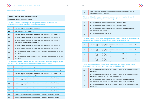

#### **Means of Implementation:**

#### **Means of Implementation by Priorities and Actions**

#### **Dimension I: Prosperity of the SEE Region**

**Priority 1: Promoting economic growth through trade creation, sustainable and responsible tourism and enhancing transport connectivity**

| 1.1. | Actions of regional solidarity and assistance                                                                                       |
|------|-------------------------------------------------------------------------------------------------------------------------------------|
| 1.2. | International Technical Assistance                                                                                                  |
| 1.3. | Actions of regional solidarity and assistance, International Technical Assistance                                                   |
| 1.4. | Actions of regional solidarity and assistance, International Technical Assistance                                                   |
| 1.5. | Actions of regional solidarity and assistance, International Technical Assistance,<br>International Financial Institutions supports |
| 1.6. | Actions of regional solidarity and assistance, International Technical Assistance                                                   |
| 1.7. | Actions of regional solidarity and assistance, International Technical Assistance                                                   |
| 1.8. | Regional Dialogue, Actions of regional solidarity and assistance, International Technical<br>Assistance                             |
| 1.9. | Regional Dialogue, Actions of regional solidarity and assistance, International Technical<br>Assistance                             |

#### 2.10. Regional Dialogue, Actions of regional solidarity and assistance, Peer Reviews, International Technical Assistance

**Priority 2: Promoting investment, research and innovation in renewable energy to increase the share of carbon free energy supply and improve energy efficiency**

| 2.1. | International Technical Assistance,                                                                                                |
|------|------------------------------------------------------------------------------------------------------------------------------------|
| 2.2. | International Technical Assistance, Actions of regional solidarity and assistance,                                                 |
| 2.3. | Actions of regional solidarity and assistance, International Technical Assistance,<br>International Financial Institutions support |
| 2.4. | Regional Dialogue, Actions of regional solidarity and assistance, Peer Reviews,<br>International Technical Assistance              |
| 2.5. | Regional Dialogue, Actions of regional solidarity and assistance, Peer Reviews,<br>International Technical Assistance              |
| 2.6. | Regional Dialogue, Actions of regional solidarity and assistance, Peer Reviews                                                     |
| 2.7. | Regional Dialogue, Actions of regional solidarity and assistance, Peer Reviews                                                     |
| 2.8. | Regional Dialogue, Actions of regional solidarity and assistance, Peer Reviews                                                     |
| 2.9. | Regional Dialogue, Actions of regional solidarity and assistance, Peer Reviews                                                     |

**Priority 3: Enhancing capacity to improve detection and risk reduction of natural disasters to minimize their impact on economic growth**

| 3.1. | Regional Dialogue, Actions of regional soli                                              |
|------|------------------------------------------------------------------------------------------|
| 3.2. | Regional Dialogue, Actions of regional soli                                              |
| 3.3. | Regional Dialogue, Actions of regional soli<br><b>International Technical Assistance</b> |
| 3.4. | Regional Dialogue, Regional Networking                                                   |

**Priority 4: Reducing digital divide through better broadband connectivity, development of digital skills and accelerated digitalisation of industry and public services**

| 4.1. | Actions of regional solidarity and assistar<br>International Financial Institutions support |
|------|---------------------------------------------------------------------------------------------|
| 4.2. | Actions of regional solidarity and assistar<br>International Financial Institutions support |
| 4.3. | Actions of regional solidarity and assistar<br>International Financial Institutions support |
| 4.4. | Actions of regional solidarity and assistar<br>International Financial Institutions support |

**Priority 5: Enhancing public-private sector partnership and role of financial sector/ financing for development for the implementation of SDGs in SEE** 

| 5.1. | Regional Dialogue, Regional Networking, A<br>Peer Reviews,                               |
|------|------------------------------------------------------------------------------------------|
| 5.2. | Regional Dialogue, Regional Networking, A<br>Peer Reviews, International Financial Insti |
| 5.3. | Regional Dialogue, Actions of regional sol<br>International Technical Assistance, Interr |
| 5.4. | Regional Dialogue, Regional Networking, A<br><b>Peer Reviews</b>                         |



idarity and assistance

idarity and assistance,

idarity and assistance, Peer Reviews,

nce, International Technical Assistance,

.<br>Ace, International Technical Assistance, I

nce, International Technical Assistance,

.<br>Ace, International Technical Assistance, I

Actions of regional solidarity and assistance,

Actions of regional solidarity and assistance, itutions support

lidarity and assistance, Peer Reviews, International Financial Institutions support

Actions of regional solidarity and assistance,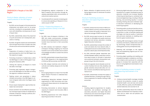

#### **Priority 6: Better utilisation of human capital potential of the SEE Region**

#### Targets:

- I. By 2030, narrow the gap to full and productive employment and decent work for all women and men, including for young people and persons with disabilities, and equal pay for work of equal value
- II. By 2030, substantially reduce the proportion of youth and women not in employment, education or training
- III. By 2030, recognise unpaid care and domestic work through the provision of public services, infrastructure and social protection policies

#### Actions:

- 1. Preparation of inventory of skills from a regional perspective which the SEE Region has the capacity to supply
- 2. Promoting movement of skilled labour within the SEE Region in order to fill the gaps in supplying the necessary skills
- 3. Utilising the capacity of diaspora to match the skills in shortage
- 4. Promoting well-organised, regular immigration to the SEE Region for the skills not met by the regional or diaspora resources
- 5. Fighting racism and xenophobia in labour markets and society in the SEE Region to attract immigrant skills which the Region lacks in supply
- 6. Ensure equal employment opportunities between men and women
- 7. Ensure women's full and effective participation and equal opportunities for leadership at all levels of decision-making in political, economic and public life
- IV. By 2025, map all diaspora initiatives in the SEE and create communication strategies aimed at encouraging diaspora community to transfer know-how back to their economies of origin
- V. By 2030, develop and implement a Regional Diaspora Strategy targeting non-financial transfers such as the transfer and circulation of knowledge and skills to sustain the actions of SEE 2030
- VI. By 2030, substantially increase the participation of SEE diasporas in the implementation of SDGs by SEE economies and SEE 2030
- VII. By 2030, design incentives and schemes to cultivate and mobilise diasporas for the SEE economies
- 8. Strengthening regional cooperation in the field of research and innovation through developing specialised skills and promotion of cultural and creative sectors
- 9. Coordinated efforts towards increasing public and private spending on Research & Innovation as part of GDP

#### **Priority 7: Supporting diaspora to promote economic activity in the SEE Region**

Targets:

#### Actions:

- 1. Encouraging diaspora to import from the SEE Region (Export Promotion to Selected Diaspora Groups)
- 2. Establishing Network(s) between diaspora organisations of SEE economies and cooperating with these networks for the objectives of SEE 2030
- 3. Promoting instruments to attract diaspora capacity for research and innovation (R&I) in the SEE Region
- 4. Benefiting experiences from other diaspora exporting economies in the world

5. Better utilisation of digital economy and offering regional tools for enhanced circulation of high skills

#### **Priority 8: Facilitating access to education and supporting improvement of its quality**

#### Targets:

- VIII. By 2030, achieve that two thirds of SEE economies students in primary and secondary education receive the quality of education at or above the average of OECD economies
- IX. By 2030, ensure equal access for all women and men to affordable and quality technical, vocational and tertiary education, including Higher Education Institutions
- X. By 2030, substantially increase the number of youth and adults who have relevant skills, including technical and vocational skills, for employment, decent jobs and entrepreneurship
- XI. By 2030, eliminate gender disparities (disparities between sexes) in education and ensure equal access to all levels of education and vocational training for all population subgroups living at the risk of poverty
- XII. Build and upgrade natural disaster proof education facilities that are child, disability and gender sensitive and provide safe, non-violent, inclusive and effective learning environments for all
- XIII. By 2030, substantially increase the supply of qualified teachers, including through international cooperation for teacher training in SEE economies

#### Actions:

1. Creating regional programmes for student, researcher, and professor exchange (for secondary education and Higher Education Institutions) and cultural exchange for all levels of education establishments



- 2. Enhancing digital education and use of digital platforms to support facilitated access to education materials and increase flexibility of learning and teaching (i.e. combined traditional and digital learning), including in lifelong learning, and promoting equality in access, including initiating discussion between higher education institutions on developing joint eLearning programs
- 3. Promoting public private partnership and enhancing the role of financing for development in education in order to facilitate meeting skill shortages and improve quality of education with particular emphasis on reskilling workforce for green transformation
- 4. Creating SEE technological centres through university and industry collaboration promoting technology based entrepreneurship including green economy entrepreneurship
- 5. Detecting skill shortages at the regional level and establishing regional pool for mismatched skills
- 6. Promoting digital upskilling and reskilling and strengthening digital competence and literacy for citizens, and in particular for vulnerable groups to increase their capacities with the focus on using digital services based on sectoral needs

#### **Priority 9: Facilitating access to health and supporting improvement of its quality**

#### Targets:

- XIV. Achieve universal health coverage, including financial risk protection, access to quality essential health-care services and access to safe, effective, quality and affordable essential medicines and vaccines for all
- XV. By 2030, substantially reduce the number of deaths and illnesses from hazardous chemicals and air, water and soil pollution and contamination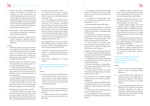SOUTH EAST EUROPE 2030 STRATEGY 42 43

- XVI. Support the research and development of vaccines and medicines for COVID-19, its variations, and other communicable and non-communicable diseases that primarily affect SEE economies, provide access to affordable essential medicines and vaccines throughout the Region, in accordance with the relevant international rules regarding flexibilities to protect public health, and, in particular, provide access to medicines for all
- XVII. Substantially increase health financing and the recruitment, development, training and retention of health workforce
- XVIII.Strengthen the capacity of SEE economies for early warning, risk reduction and management of SEE economy level and regional health risks

#### Actions:

- 1. Establishing regional dialogue mechanisms to strengthen the implementation of targets and measures agreed in the UN Political Declaration on Universal Health Coverage and promote the responsiveness of public budgeting to the actions related to prioritisation of health in public spending
- 2. Promoting People-First approach to public private partnership and enhancing role of financing for development in health

2.1. Enhancing partnership between commercial banks and private sector health service providers in order to facilitate access to health services and improving the quality of services provided

2.2. Promoting partnership between commercial banks, health insurance service providers and private sector health services providers to create sufficient level of turnover while making the provision of services affordable without increasing out-of-pocket spending

3. Establishing economic corridors in health 3.1. Promoting partnership between public health insurance schemes and private sector services providers in the SEE in order to allow reimbursing the treatment abroad in the SEE in case the capacity and quality of health

services in a given economy is limited

3.2. Facilitating the provision of supporting services to promote economic activity in health corridors to be established between economies in SEE

- 3.3. All the available trade facilitation mechanisms and instruments such as transport connectivity, visa facilitation, partnership between health insurance providers, and cooperation between tourism establishments (tour operators, hotels and other hospitality service providers) should be pooled together to facilitate and promote economic activity in health corridors between SEE economies with the aim to provide an affordable and accessible health services in SEE
- 4. Utilising digitalisation of services for cooperation of Medical Schools and Health Service Providers in order to exchange experiences over the results of treatment protocols
- 5. Cooperation of the economies of South East Europe on strengthening preparedness to deal with cross-border/boundary threats to public health
- 6. Transformative digitalisation of all health systems

4.2. Increase resources to improve access to justice for these communities

#### **Priority 10: Improving equal access to and quality of justice and public services in SEE**

#### Targets:

XIX. Promote the rule of law at the SEE economy and international levels, ensure equal access to justice for all and enable integrated, citizen-centric provision of public services to ensure a high-level of citizen satisfaction and trust in government

#### Actions:

1. Promote the rule of law at the domestic and regional level and ensure equal access to justice for all

1.1. Develop adequate policy recommendations that improve access to justice in the SEE region

1.2. Encourage the use of alternative dispute resolution to speed up the resolving of legal issues and reduce the cost of accessing the justice system

1.3. Increase the use of technology to allow some administration processes to be handled outside of courts

1.4. Enhance judicial training in SEE region

2. Enhance the legal capability of individuals through improved access to information, particularly the capacities of vulnerable groups and communities

2.1. Strengthen the cooperation among governments and CSOs in SEE through sharing best practices on improving access to information and legal education of individuals

2.2. Improve access to information about laws, procedures and existing legal aid to enable individuals to identify their legal needs, and identify sources of legal aid

3. Strengthen access to and quality of legal aid 3.1. Advocate for regional funding for legal aid organisations particularly those representing vulnerable groups and communities

3.2. Regional training for legal professionals to provide legal services to low-income and underserved individuals

3.3. Promote transparency of available funding for legal aid, particularly among vulnerable groups and communities

3.4. Support regional activities to increase the awareness and legal capacity of marginalised individuals in SEE

4. Place particular focus on regional campaign to improve access to justice for disadvantaged groups

4.1. Support the jurisdictions of SEE to establish legal procedures to protect the rights of people with limited capacity or other vulnerabilities

4.3. Raise awareness on eliminating obstacles that limit the rights of persons with disabilities



4.4. Strengthen regional partnerships between CSOs and law enforcement to better serve underserved communities with a focus on victims of gender(sex)-based violence

5. Implement a citizen-centric approach to delivering government services to improve access and quality of service provision

5.1. Establish regional dialogue with an aim to develop regional strategies on enhancing implementation of integrated public services bringing together government services so that citizens can access them in a single seamless experience based on their wishes and needs

5.2. Exchange best practices and experiences in measuring and managing quality and performance in government service provision throughout the SEE Region

5..3. Promote multichannel communication options to citizens, including self-serve channels enabled by digitalisation of government services, including health, education, and others

**Priority 11: Improving access to and quality of environment/sanitation services and affordable, safer and healthier housing**

#### Targets:

- XX. By 2030, achieve universal and equitable access to safe and affordable drinking water for all
- XXI. By 2030, achieve access to adequate and equitable sanitation and hygiene for all, paying special attention to the needs of women and girls and those in vulnerable situations
- XXII. By 2030, substantially increase water-use efficiency across all sectors and ensure sustainable withdrawals and supply of freshwater to address water scarcity and substantially reduce the number of people suffering from water scarcity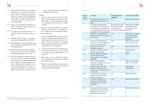SOUTH EAST EUROPE 2030 STRATEGY 44 44

- XXIII. By 2030, expand international, and regional cooperation, and capacity-building support in water- and sanitation-related activities and programmes, including water harvesting, desalination, water efficiency, wastewater treatment, recycling and reusing technologies
- XXIV. Support and strengthen participation of local communities in improving water and sanitation management
- XXV. By 2030, ensure universal access to affordable, reliable and modern energy services
- XXVI. By 2030, double the rate of regional improvement in energy efficiency in SEE48
- XXVII. By 2030, expand access to adequate, safe and affordable housing and basic services and upgrade slums
- XXVIII. By 2030, reduce the adverse per capita environmental impact of cities, including by paying special attention to air quality
- XXIX. By 2030, substantially increase the number of cities and human settlements adopting and implementing integrated policies and plans towards inclusion, resource efficiency, mitigation and adaptation to climate change, resilience to disasters, and develop and implement, in line with the Sendai Framework for Disaster Risk Re-



duction 2015-2030, holistic disaster risk management at all levels

Actions:

- 1. Prepare a socio-economic Impact assessment of Green Agenda and establish a Work Plan in order to avoid deepening of geographical inequalities, raise awareness on green financing
- 2. Enhance partnership between commercial banks and private sector to facilitate provision of green loans to households based on project financing
- 3. Capacity building in SEE authorities, including local, to prepare bankable projects for improving the quality of environment and sanitation services and access to affordable, safe and healthy housing, particularly for vulnerable groups and communities
- 4. Support local governments to digitalise public services and promote the use of IoT and the concept of smart cities, based on EU standards
- 5. Map energy poverty in SEECP and identify best practices and future measures compatible with the EU acquis
- 6. Establish a regional dialogue mechanism on water resources, including on data collection, reporting and capacity building

#### **Indicators:**

| Priority /<br><b>Target</b> | Indicator                                                                                                                                                                  | UN SDG Indicator, if<br>applicable                                                            | Sources of verification                                                                            |
|-----------------------------|----------------------------------------------------------------------------------------------------------------------------------------------------------------------------|-----------------------------------------------------------------------------------------------|----------------------------------------------------------------------------------------------------|
| 6/i., ii., iii.             | Employment statistics by sex,<br>age and educational attainment<br>level                                                                                                   | n.a.                                                                                          | <b>SEE Statistical Offices</b>                                                                     |
|                             | Proportion of the population<br>living below the mid-high income<br>economies poverty threshold by<br>sex, age, employment status and<br>geographic location (urban/rural) | (international poverty<br>line is replaced with<br>mid-high income<br>economies poverty line) | <b>SEE Statistical Offices,</b><br>World Bank (Poverty-<br>Equity Data Portal),<br><b>EUROSTAT</b> |
|                             | Proportion of population living<br>below the national poverty line, by<br>sex and age                                                                                      | 1.2.1                                                                                         | <b>SEE Statistical Offices,</b><br>World Bank (Poverty-<br>Equity Data Portal),<br><b>EUROSTAT</b> |
|                             | Proportion of seats held by<br>women in (a) national parliaments<br>and (b) local governments                                                                              | 5.5.1.                                                                                        | <b>SEE Statistical Offices</b><br><b>Electoral Authorities</b>                                     |
|                             | Proportion of women in<br>managerial positions                                                                                                                             | 5.5.2.                                                                                        | <b>SEE Statistical Offices</b>                                                                     |
| 7/iv., v.                   | Adoption and implementation of<br>SEE Diaspora Strategy                                                                                                                    | n.a.                                                                                          | SEECP and RCC<br>reports                                                                           |
| 7/vi.                       | Number of Network meetings<br>between SEE diaspora<br>organisations in the context of<br><b>SEE 2030</b>                                                                   | n.a.                                                                                          | <b>RCC</b>                                                                                         |
| 7 vii.                      | Value of fiscal incentives<br>allocated to diaspora for research<br>and innovation in SEE                                                                                  | n.a.                                                                                          | <b>SEE Statistical Offices</b><br><b>SEE Tax Authorities</b>                                       |
|                             | Number of export promotion<br>projects of SEE economies<br>targeting the respective diaspora<br>communities                                                                | n.a.                                                                                          | <b>SEE Diaspora</b><br>Organisations                                                               |
| 8/viii.                     | Scores per SEE economy in<br>programme for international<br>student assessment                                                                                             | n.a.                                                                                          | <b>OECD PISA Scores</b>                                                                            |
|                             | Completion rate (primary<br>education, lower secondary<br>education, upper secondary<br>education)                                                                         | 4.1.2                                                                                         | <b>SEE Statistical Offices</b>                                                                     |
| 8/ix.                       | Participation rate of youth and<br>adults in formal and non-formal<br>education and training in the<br>previous 12 months, by sex                                          | 4.3.1.                                                                                        | <b>SEE Statistical Offices</b>                                                                     |

<sup>48</sup> Energy Community Contracting Parties of SEECP have committed to achieve the energy efficiency target set out by the Ministerial Council Decision, as a result of adopting the EU Governance Regulation 2019/1999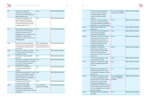

| 8/x      | Proportion of youth and<br>adults with information and<br>communication technology (ICT)<br>skills, by type of skill                                                                                                            | 4.4.1.                                                                        | <b>SEE Statistical Offices</b> |
|----------|---------------------------------------------------------------------------------------------------------------------------------------------------------------------------------------------------------------------------------|-------------------------------------------------------------------------------|--------------------------------|
|          | Proportion of population in a<br>given age group achieving at<br>least a fixed level of proficiency<br>in functional (a) literacy and (b)<br>numeracy skills, by sex                                                            | 4.6.1                                                                         | <b>SEE Statistical Offices</b> |
| 8/xi     | Parity indices (female/male, rural/<br>urban, bottom/top and wealth<br>quintile and others such as<br>disability status, as data become<br>available) for all education<br>indicators on this list that can be<br>disaggregated | 4.5.1.                                                                        | <b>SEE Statistical Offices</b> |
| $8/x$ ii | Proportion of schools offering<br>basic services, by type of service<br>(including their natural disaster<br>proof level)                                                                                                       | 4.a.1. (additionally to<br>check schools' level of<br>natural disaster proof) | <b>SEE Statistical Offices</b> |
| 8/xiii   | Proportion of teachers with the<br>minimum required qualifications,<br>by education level                                                                                                                                       | 4.c.1.                                                                        | <b>SEE Statistical Offices</b> |
| 9/xiv    | Coverage of essential health<br>services                                                                                                                                                                                        | 3.8.1                                                                         | <b>SEE Statistical Offices</b> |
|          | Proportion of population with large<br>household expenditures on health<br>as a share of total household<br>expenditure or income                                                                                               | 3.8.2.                                                                        | <b>SEE Statistical Offices</b> |
| 9/xv     | Mortality rate attributed to<br>household and ambient air<br>pollution                                                                                                                                                          | 3.9.1.                                                                        | <b>SEE Statistical Offices</b> |
|          | Mortality rate attributed to unsafe<br>water, unsafe sanitation and lack<br>of hygiene (exposure to unsafe<br>Water, Sanitation and Hygiene for<br>All (WASH) services)                                                         | 3.9.2.                                                                        | <b>SEE Statistical Offices</b> |
|          | Mortality rate attributed to<br>unintentional poisoning                                                                                                                                                                         | 3.9.3.                                                                        | <b>SEE Statistical Offices</b> |
| 9/xvi    | Proportion of the target<br>population covered by all<br>vaccines (including COVID-19                                                                                                                                           | 3.b.1 (COVID-19<br>vaccines are added)                                        | <b>SEE Statistical Offices</b> |

vaccines) included in their national

programme

|            | Total net official development<br>assistance and allocation of<br>national budget to medical<br>research and basic health<br>sectors                                                                                                                                                                     | 3.b.2. (national budget<br>allocations are added)          | <b>SEE Statistical Offices</b> |
|------------|----------------------------------------------------------------------------------------------------------------------------------------------------------------------------------------------------------------------------------------------------------------------------------------------------------|------------------------------------------------------------|--------------------------------|
|            | Proportion of health facilities<br>that have a core set of relevant<br>essential medicines available and<br>affordable on a sustainable basis                                                                                                                                                            | 3.b.3                                                      | <b>SEE Statistical Offices</b> |
| $9/x$ vii  | Health worker density and<br>distribution                                                                                                                                                                                                                                                                | 3.c.1.                                                     | <b>SEE Statistical Offices</b> |
| 9/xviii    | <b>International Health Regulations</b><br>(IHR) capacity and health<br>emergency preparedness                                                                                                                                                                                                           | 3.d.1.                                                     | <b>SEE Statistical Offices</b> |
| $10/x$ ix  | Proportion of victims of violence<br>in the previous 12 months who<br>reported their victimisation to<br>competent authorities or other<br>officially recognised conflict<br>resolution mechanisms                                                                                                       | 16.3.1.                                                    | <b>SEE Statistical Offices</b> |
|            | Proportion of population<br>experienced a dispute in the<br>past two years and accessed<br>a formal or informal dispute<br>resolution mechanism, by type of<br>mechanism                                                                                                                                 | 16.3.3.                                                    | <b>SEE Statistical Offices</b> |
|            | Proportion of population using<br>e-government services                                                                                                                                                                                                                                                  | 16.6.2                                                     | <b>SEE Statistical Offices</b> |
| 11/xx      | Proportion of population using<br>safely managed drinking water<br>services                                                                                                                                                                                                                              | 6.1.1.                                                     | <b>SEE Statistical Offices</b> |
|            | Proportion of average price of<br>drinking water per m3 to income<br>of population living below national<br>poverty line                                                                                                                                                                                 | n.a.                                                       | <b>SEE Statistical Offices</b> |
| 11/xxi     | Proportion of population using<br>(a) safely managed sanitation<br>services and (b) a hand-washing<br>facility with soap and water,<br>if possible disaggregated by<br>female/male, rural/urban, bottom/<br>top and wealth quintile and others<br>such as disability status, as data<br>become available | 6.2.1 (disaggregated<br>indices are added, if<br>possible) | <b>SEE Statistical Offices</b> |
| $11/x$ xii | Change in water-use efficiency<br>over time                                                                                                                                                                                                                                                              | 6.4.1.                                                     | <b>SEE Statistical Offices</b> |

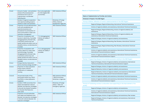

| $11/x$ xiii | Amount of water- and sanitation-<br>related official development<br>assistance that is part of<br>a government-coordinated<br>spending plan                                                                                                             | 6.a.1 (only applicable<br>for ODA eligible SEE<br>economies) | <b>SEE Statistical Offices</b>                                                |
|-------------|---------------------------------------------------------------------------------------------------------------------------------------------------------------------------------------------------------------------------------------------------------|--------------------------------------------------------------|-------------------------------------------------------------------------------|
|             | Number of regional cooperation<br>and capacity building projects<br>related to water and sanitation                                                                                                                                                     | 6.a.                                                         | Ministries of Foreign<br>Affairs, National<br>Development Agencies            |
| 11/xxiv     | Proportion of local administrative<br>units with established and<br>operational policies and<br>procedures for participation of<br>local communities in water and<br>sanitation management                                                              | 6.b.1                                                        | <b>SEE Statistical Offices</b>                                                |
| 11/xxy      | Proportion of population with<br>access to electricity, if possible<br>disaggregated by female/male,<br>rural/urban, bottom/top and<br>wealth quintile and others such as<br>disability status, as data become<br>available                             | 7.1.1 (disaggregated<br>indices are added, if<br>possible)   | <b>SEE Statistical Offices</b>                                                |
|             | Proportion of population with<br>primary reliance on clean fuels<br>and technology, if possible<br>disaggregated by female/male,<br>rural/urban, bottom/top and<br>wealth quintile and others such as<br>disability status, as data become<br>available | 7.1.2. (disaggregated<br>indices are added, if<br>possible)  | <b>SEE Statistical Offices</b>                                                |
| 11/xxvi     | Energy intensity measured in<br>terms of primary energy and GDP                                                                                                                                                                                         | 7.3.1.                                                       | <b>SEE Statistical Offices</b>                                                |
| 11/xxvii    | Proportion of urban population<br>living in slums, informal<br>settlements or inadequate<br>housing                                                                                                                                                     | 11.1.1                                                       | <b>SEE Statistical Offices</b>                                                |
| 11/xxviii   | Annual mean levels of fine<br>particulate matter (e.g., PM2.5<br>and PM10) in cities (population<br>weighted)                                                                                                                                           | 11.6.2.                                                      | <b>SEE Statistical Offices</b><br>/ SEE Environment<br>Ministries or Agencies |
| $11/x$ xix  | Number of SEE economies that<br>adopt and implement national<br>disaster risk reduction strategies<br>in line with the Sendai Framework<br>for Disaster Risk Reduction<br>2015-2030                                                                     | 11.b.1.                                                      | Ministries of Foreign<br>Affairs / SEE Civil<br><b>Emergency Agencies</b>     |
|             | Proportion of local authorities<br>that adopt and implement local<br>disaster risk reduction strategies<br>in line with national disaster risk<br>reduction strategies                                                                                  | 11.b.2.                                                      | <b>SEE Statistical Offices</b>                                                |

#### **Means of Implementation:**

|         | Means of Implementation by Priorities and Actions                                                  |
|---------|----------------------------------------------------------------------------------------------------|
|         | Dimension II: People of the SEE Region                                                             |
|         | Priority 6: Better utilisation of human capital potent                                             |
|         | Regional Dialogue, Regional Networking, In                                                         |
|         | Actions of regional solidarity and assistan                                                        |
|         | Regional Dialogue, Regional Networking, Ad<br>assistance,                                          |
|         | Regional Dialogue, Regional Networking, Ad<br>assistance, International Technical Assist           |
|         | Regional Dialogue, Actions of regional solio                                                       |
|         | Regional Dialogue, Regional Networking, Pe<br>Assistance                                           |
|         | Regional Dialogue, Regional Networking, Pe<br>Assistance                                           |
|         | Actions of regional solidarity and assistan<br><b>International Financial Institutions Support</b> |
|         | Actions of regional solidarity and assistan<br><b>International Financial Institutions Support</b> |
|         | Priority 7: Supporting diaspora to promote economi                                                 |
|         | Regional Dialogue, Actions of regional solid<br>Technical Assistance, International Financ         |
|         | Regional Dialogue, Actions of regional solid                                                       |
|         | Regional Networks, Actions of regional sol                                                         |
|         | Regional Networks, Actions of regional sol<br>Technical Assistance, International Financ           |
|         | Actions of regional solidarity and assistan                                                        |
|         | Actions of regional solidarity and assistan<br><b>International Financial Institutions Support</b> |
| quality | Priority 8: Facilitating access to education and sup                                               |
|         | Regional Dialogue, Actions of regional solio                                                       |
|         | Actions of regional solidarity and assistan<br><b>International Financial Institutions Support</b> |
|         | Regional Dialogue, Actions of regional solio                                                       |
|         | Regional Dialogue, Actions of regional solio<br><b>Technical Assistance</b>                        |



#### **Prioring 6: Betail of the SEE Region**

g, International Technical Assistance

stance, International Technical Assistance

g, Actions of regional solidarity and

g, Actions of regional solidarity and sistance,

solidarity and assistance,

g, Peer Reviews, International Technical

g, Peer Reviews, International Technical

stance, International Technical Assistance,

stance, International Technical Assistance,

**Priorible Activity in the SEE Region** 

solidarity and assistance, International nancial Institutions Support

solidarity and assistance

solidarity and assistance

solidarity and assistance, International nancial Institutions Support

stance, International Technical Assistance,

stance, International Technical Assistance,

supporting to the improvement of its

solidarity and assistance,

stance, International Technical Assistance,

solidarity and assistance, Peer reviews

solidarity and assistance, International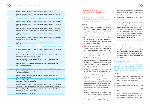

|  | Regional Dialogue, Actions of regional solidarity and assistance |  |  |
|--|------------------------------------------------------------------|--|--|
|--|------------------------------------------------------------------|--|--|

Regional Dialogue, Actions of regional solidarity and assistance, International Technical Assistance

**Priority 9: Facilitating access to health and supporting to the improvement of its quality**

| Regional Dialogue, Actions of regional solidarity and assistance, Peer Reviews,                                                                                     |
|---------------------------------------------------------------------------------------------------------------------------------------------------------------------|
| Regional Dialogue, Actions of regional solidarity and assistance, Peer Reviews,<br>International Technical Assistance,                                              |
| Regional Dialogue, Actions of regional solidarity and assistance, Peer reviews,<br>International Technical Assistance, International Financial Institutions support |
| Regional Dialogue, Actions of regional solidarity and assistance, Peer Reviews,<br>International Technical Assistance,                                              |
| Regional Dialogue, Actions of regional solidarity and assistance, Peer Reviews,<br>International Technical Assistance,                                              |
| Regional Dialogue, Actions of regional solidarity and assistance, Peer Reviews,<br>International Technical Assistance,                                              |

**Priority 10: Improving equal access to and quality of justice and public services in SEE**

|                                                                                     | Regional Dialogue, Actions of regional solidarity and assistance, Peer Reviews                                                         |
|-------------------------------------------------------------------------------------|----------------------------------------------------------------------------------------------------------------------------------------|
|                                                                                     | Regional Dialogue, Actions of regional solidarity and assistance, Peer Reviews                                                         |
|                                                                                     | Regional Dialogue, Actions of regional solidarity and assistance, Peer Reviews,<br><b>International Financial Institutions Support</b> |
|                                                                                     | Regional Dialogue, Regional Networking, Actions of regional solidarity and<br>assistance, Peer Reviews                                 |
|                                                                                     | Regional Dialogue, Regional Networking, Actions of regional solidarity and<br>assistance, Peer Reviews                                 |
| Priority 11: Improving access to and quality of environment and sanitation services |                                                                                                                                        |

| Regional Dialogue, Actions of regional solidarity and assistance, International<br><b>Technical Assistance</b>                                                      |
|---------------------------------------------------------------------------------------------------------------------------------------------------------------------|
| Regional Dialogue, Regional Networking, Actions of regional solidarity and<br>assistance, Peer Reviews                                                              |
| Regional Dialogue, Actions of regional solidarity and assistance, Peer Reviews,<br>International Technical Assistance                                               |
| Regional Dialogue, Actions of regional solidarity and assistance, Peer Reviews,<br>International Technical Assistance, International Financial Institutions Support |
| Regional Dialogue, Actions of regional solidarity and assistance, Peer Reviews,<br>International Technical Assistance,                                              |
| Regional Dialogue, Peer Reviews                                                                                                                                     |



#### **DIMENSION III: Peace and partnerships in the SEE Region**

**Priority 12: Support to institutional strengthening for smart implementation of the SEE 2030 Strategy**

Targets:

- I. Enhance region to region dialogue to facilitate know-how transfer and experience sharing in the implementation of UN SDGs and Agenda 2030 as well as SDGs oriented regional strategies
- II. Encourage and promote effective public, public-private and civil society partnerships, building on the experience and resourcing strategies of partnerships
- III. By 2030 enhance capacity-building support to significantly increase the availability of high-quality, timely and reliable data disaggregated by income, sex, age, race, ethnicity, migratory status, disability, geographic location and other characteristics relevant in context of each SEE economy
- IV. Improve the quality of communication with parliaments of SEE economies and enhance their awareness on the implementation of SEE 2030 Strategy and UN SDGs
- V. Enhance transparency of national budgets in SEE economies and increase budgets' responsiveness to UN SDGs and Agenda 2030 as well as to SEE 2030 Strategy
- VI. By 2030, expand international and regional cooperation, and capacity-building support in policy development, systemic approach and performance management, transparency, public consultation and policy impact assessment, with greater reliance on data and evidence.

#### Actions:

1. Establishing regional platforms between RCC and other regions' regional organisations in order to exchange of experiences and for potential joint actions promoting the regional implementation of SDGs, including human rights, gender equality, and their mainstreaming in the regional implementation of the SDGs

- 2. Establishing Regional Network of SEE Statistical Offices
- 3. Establishing regular regional dialogue mechanisms with stakeholders comprising of representatives of civil society, private sector, and academia in the implementation of SEE 2030 and SDGs in SEE to foster their cooperation at the regional level. Localisation of SEE 2030 implementation will be determined in coordination and consultation with the SDG coordinators in SEE economies.
- 4. Engaging SEE Parliaments in the SEE 2030 implementation
- 5. Advocacy for SDGs responsive national budgeting and transparency
- 6. Promoting regional cooperation in the field of policy development and performance management through peer reviews and professional exchange of mid- and senior-level civil servants in SEE

**Priority 13: Facilitating creation of sustainable funding mechanisms to support implementation of the SEE 2030 Strategy while respecting development cooperation effectiveness principles of transparency and accountability** 

#### Targets:

VII. Mobilise additional financial resources for SEE economies from multiple sources to support the implementation of SDGs

#### Actions:

- 1. Establishing a regional project facility in the RCC to identify and assess feasibility of project intervention areas in the context of SEE 2030
- 2. Regular coordination of development partners towards the objectives of SEE 2030 Strategy and implementation of SDGs in SEE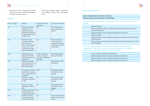- 3. Supporting to cluster and prepare feasibility of the priority areas of SEE 2030 Strategy for bankable investment projects
- 4. Advocating enhanced regional cooperation and dialogue amongst SEE development banks

#### **Indicators:**

| Priority / Target | Indicator                                                                                                                                                             | UN SDG Indicator, if<br>applicable                                                 | Sources of verification                                                                                        |
|-------------------|-----------------------------------------------------------------------------------------------------------------------------------------------------------------------|------------------------------------------------------------------------------------|----------------------------------------------------------------------------------------------------------------|
| 12/i              | Number of meetings<br>between RCC and<br>organisations repre-<br>senting other regions in<br>Europe, Mediterranean,<br>and Black Sea                                  | n.a.                                                                               | RCC, and reports of<br>other regional organi-<br>sations                                                       |
| 12/ii             | Number of region-<br>al dialogue meetings<br>with civil society,<br>think-tanks, academia,<br>private sector, local<br>authorities and other<br>relevant stakeholders | n.a.                                                                               | RCC, and reports of<br>CSOs, think-tanks,<br>academia, private sec-<br>tor, and other relevant<br>stakeholders |
| 12/iii            | <b>Statistical capacity</b><br>indicator for Sustain-<br>able Development Goal<br>monitoring                                                                          | 17.18.1. (with adjust-<br>ments according to<br>the needs of SEE 2030<br>Strategy) | <b>RCC, SEE Statistical</b><br>Offices, World Bank                                                             |
| 12/iv             | Number of meetings<br>with SEE Parliaments on<br>the implementation of<br>SEE 2030 Strategy                                                                           | n.a.                                                                               | RCC, Reports of SEE<br>Parliaments                                                                             |
| 12/v              | Primary government ex-<br>penditures as a propor-<br>tion of original approved<br>budget (%)                                                                          | 16.6.1.                                                                            | <b>SEE Statistical Offic-</b><br>es, SEE Economies<br><b>Budgets</b>                                           |
|                   | Proportion of public<br>spending on education<br>to GDP                                                                                                               | n.a.                                                                               | <b>SEE Statistical Offic-</b><br>es, SEE Economies<br><b>Budgets</b>                                           |
|                   | Proportion of public<br>spending on health to<br><b>GDP</b>                                                                                                           | n.a.                                                                               | SEE Statistical Offic-<br>es, SEE Economies<br><b>Budgets</b>                                                  |
| 12/vi             | Number of peer reviews<br>and professional ex-<br>changes implemented                                                                                                 | n.a.                                                                               | <b>RCC</b>                                                                                                     |
| $13$ / $vi$       | Number of projects<br>financed by the addi-<br>tional funding raised                                                                                                  | n.a.                                                                               | <b>Financial and Narrative</b><br>Reports of RCC Project<br>Facility                                           |

**Priority 13: Facilitating creation of sustainable funding mechanisms to support idem** of *implement* cooperation **ecountability** 

stance,

solidarity and assistance

solidarity and assistance

#### **Means of Implementation:**

#### **Means of Implementation by Priorities and Actions**

#### **Dimension III: Peace and Partnerships in the SEE Region**

**Priority 12: Support to institutional strengthening for smart implementation of SEE 2030 Strategy**

| <b>Regional Dialogue</b>                                                                                                                                 |
|----------------------------------------------------------------------------------------------------------------------------------------------------------|
| Regional Networking, Actions of region<br>Technical Assistance                                                                                           |
| Regional Dialogue, Actions of regional s                                                                                                                 |
| Regional Dialogue,                                                                                                                                       |
| Regional Dialogue, Actions of regional s<br>nical Assistance                                                                                             |
| Regional Dialogue, Actions of regional s<br>nical Assistance                                                                                             |
| Priority 13: Facilitating creation of sustainable fu<br>mplementation of SEE 2030 Strategy while resp<br>effectiveness principles of transparency and ac |
| Actions of regional solidarity and assis                                                                                                                 |
| Regional Dialogue, Actions of regional s                                                                                                                 |
| Regional Networks, Actions of regional                                                                                                                   |

Regional Dialogue, Actions of regional solidarity and assistance



nal solidarity and assistance, International

solidarity and assistance,

solidarity and assistance, International Tech-

solidarity and assistance, International Tech-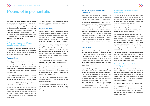### **Means of implementation Means** of regional solidarity and

The implementation of SEE 2030 Strategy is built upon regional actions agreed by all SEE economies. The backbone of these regional actions is the political willingness of SEE economies to act in solidarity towards reaching the UN SDGs and Agenda 2030 as well as to cooperate regionally in the areas determined by the SEE 2030 Strategy. In this regard, the actions foreseen under each dimension of the SEE 2030 Strategy would be implemented in three groups.

#### **Regional dialogue, networking, actions of the regional solidarity and assistance, and peer-reviews (low cost)**

This group of actions is to be built upon the regional cooperation and solidarity between SEE economies. Accordingly, the following means of implementation will be part of this group.

#### **Regional dialogue**

The regional dialogue means communication between SEE governance structures, the authorities formally responsible for the implementation of SEE 2030 Strategy in each SEE economy and the relevant stakeholders through existing or new dialogue mechanisms and instruments involving SEE economies.

At least one regional dialogue mechanism is to be established with the civil society, think-tanks and academia, and representatives of private sector, local authorities, and other relevant stakeholders in the context of SEE 2030 Strategy and UN Sustainable Development Goals.

In case of necessity, the regional dialogue with civil society, think-tanks and academia, private sector, local authorities and other stakeholders would be extended in a way to enhance and regularise dialogue with each stakeholders group separately.

The formal creation of regional dialogues requires consent of the SEECP Political Directors and decision of RCC Board.

#### **Regional networking**

Creating regional networks on particular actions is anticipated by the Strategy to enhance regional cooperation, experience and information sharing and gathering as well as regional planning of activities which may require reaching the relevant targets as described by the SEE 2030 Strategy.

According to the current content of SEE 2030 Strategy, one regional network is to be established to comprise officially mandated representatives of SEE statistical offices. More regional networks between representatives of SEE public authorities to be mandated according to the policy areas and actions foreseen by the Strategy could be established.

The regional network of SEE statistical offices would act as a substructure in the implementation of SEE 2030.

The regional network of statistical offices would be the main platform to exchange of experiences and know-how pertaining to the availability and standardisation of data collection with regard to the indicators of SEE 2030.

The formal creation of regional networks requires consent of the SEECP Political Directors and decision of RCC Board.

The SEE economies through SEE 2030 governance structures may decide to establish new regional networks in the context of SEE 2030 Strategy.

### **assistance**

Some of the actions anticipated by the SEE 2030 Strategy are appropriate for regional assistance and acts of solidarity between SEE economies.

In many policy areas, significant level of experience and know-how has been accumulated by the SEE economies. In this regard, SEE economies would be open to call for regional assistance, which could be financed by donor agencies of SEE economies, in the areas falling under the scope of SEE 2030 Strategy. The governance structures of SEE 2030 Strategy and RCC would formalise the ways and instruments of calls for regional assistance and actions of regional solidarity and the roles of facilitation the RCC Secretariat may have.

#### **Peer reviews**

Peer reviews and bilateral exchange of know-how and experiences would also be one of the means of implementation under this group. Even though the implementation may require bilateral action between SEE economies, the reporting and dissemination of information about the results of peer reviews and bilateral exchange of know-how and experiences will be regional in the context of SEE 2030 Strategy.

In principle, the regional dialogue, networking, actions of regional solidarity and assistance, and peer reviews and know-how transfer are expected to facilitate undertaking actions without requiring substantial external financial assistance. If appropriate and feasible, majority of the meetings would be held virtually in order to keep travelling expenses at minimum. However, the SEE economies may decide to allocate funds to the use of SEE 2030 Strategy, particularly to finance administering the activities under this group.



#### **International Technical Assistance (medium cost)**

The second group of actions foreseen in three pillars would be carried out as technical assistance projects in collaboration with international organisations which have global expertise and know-how in the given policy areas.

In many policy areas various international organisations have developed a number of tools such as guidelines, standards or monitoring instruments including statistical indices.

For appropriate actions and upon the agreement of the relevant governance bodies of SEE 2030 Strategy, the RCC Secretariat would approach the relevant international organisations and conclude technical assistance agreements where direct beneficiaries would be SEE economies, participation of which could be determined according to their performance per indicators of achievement.

The budget for technical assistance would be financed either from international or national donors which would be available for the RCC or through direct financing by SEE economies of the given international organisations.

#### **International Financial Institutions support (high cost)**

The third group of actions includes the ones requiring high budget. Furthermore, due to the high budgetary requirements, these actions would have to be suitable for investing by international development banks active in the Region and interested in financing SEE 2030 Strategy and implementation of UN SDGs in SEE.

In this regard, the RCC aims to establish internal capacity for analysis of the actions foreseen by the SEE 2030 Strategy which are suitable for bankable projects as well as capacity to contribute to the feasibility of these projects to be proposed by the RCC for financing by international development banks.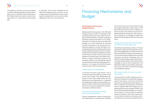

The budget for economic and financial analysis as well as undertaking feasibility studies of bankable actions in SEE 2030 could be allocated to RCC Project Facility the creation of which is foreseen by Action 2.1. under Peace and Partnerships Pillar.

In conclusion, all the actions stipulated by the SEE 2030 Strategy would be carried out via one of these means of implementation. Some of them might be transferred from one means to another depending on their multi-annual character.

### **Financing Mechanisms and Budget**

#### **Sustainable financing for implementation**

Addressing the financing needs of the SEE 2030 Strategy is going to present a challenge for SEE economies, particularly in the context of still ongoing COVID-19 pandemic. However, creating and sustaining financial mechanisms for the implementation of UN SDGs as well as the SEE 2030 Strategy is of crucial importance for improving lives over the long-term. This will require a comprehensive approach, one that will support sustainable development by mobilising: public finance through appropriate public policy and strengthening national and regional enabling environment; private finance through unlocking transformative potential of the private sector and citizens incentivised to change consumption, production and investment patterns; and strengthened regional and international partnership in development cooperation. In this regard, the SEE 2030 foresees several sources of finance outlined below.

#### **Trade creation for development**

In particular, the actions under Priority 1 aim to create new trade among SEE economies as well as with other markets. If the developmental objectives of each trade related actions are fully reflected into their implementation, it is expected that additional net regional income would be created by the SEE as well as their positive side effects such as increased employment in the backward regions of SEE economies.

#### **Financing for development through public-private partnership**

Another complementary channel of financing for the implementation is promoting and mobilising



the financial resources in private sector through well targeted awareness raising actions of the SEE 2030 toward private sector. In addition, potential success to be reached in the actions targeting development financing in SEE would create an opening for the Strategy to benefit from additional financial opportunities from the private sector.

#### **Development cooperation effectiveness and donor financed assistance**

Streamlining programming priorities of financial assistance among Official Development Assistance (ODA) eligible SEE economies towards UN SDGs and SEE 2030 Strategy and making the donor financed assistance programmes more SDGs responsive, particularly coordinating donors to align their programming priorities with the economy-level priorities related to SDG implementation challenges as well as with the objectives of the SEE 2030 Strategy would facilitate raising additional funds from which the SEE 2030 Strategy may also benefit indirectly.

#### **RCC project facility for low and medium cost actions**

A Project Facility in the RCC is planned to be created in the framework of the SEE 2030 Strategy to assist in financing low-cost actions, mainly those planned to be implemented through regional actions of solidarity and assistance. Provided the funds to implement SEE 2030 Strategy are available beyond the statutory budget of the RCC, this Project Facility would be employed as a contracting instrument to finance technical assistance actions exclusively for SEE 2030. Project Facility funds could be utilized to commission technical assistance by international organisations as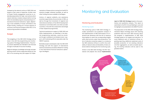SOUTH EAST EUROPE 2030 STRATEGY 58 59

foreseen by the relevant actions of SEE 2030 and based on their areas of expertise. Another area of Project Facility engagement would be to undertake preparations for high-cost actions which require relatively complex analysis before turning them into bankable projects and presenting to international financial institutions. Again, depending on the availability of funds committed to the Project Facility, creating an in-house capacity of economic and financial analysis within RCC or its outsourcing would be considered.

#### **Budget**

The budgeting of the SEE 2030 Strategy will be done in line with the programming and monitoring cycles of Strategy implementation. The priority actions identified are intended to be financed through a multitude of sources including:

Regional dialogue, knowledge exchange and peer learning actions will be supported directly by the RCC in its convening role, with support for imple-

mentation of these actions coming from the RCC's statutory budget, wherever possible, as well as other funding sources available to the Region.

Actions of regional solidarity and assistance would be supported by the economies of SEE, as well as through the involvement of regional and international members of the OECD Development Assistance Committee (DAC) and other provider countries, in line with the comparative advantage of their respective programmes.

Technical assistance in support of SEE 2030 and SDGs implementation, as identified in the biennial programming exercises, would be provided through multilateral and bilateral donor support, with fundraising efforts executed under the SEECP auspices.

> 1st Draft Presented to SEE 2030 **Monitoring Committee**

Bankable projects developed under the SEE 2030 Strategy and with the support of international technical assistance would be offered for funding to the international financial institutions operating in the Region.

#### **Monitoring and Evaluation**

#### **Monitoring Cycle**

The monitoring cycle of SEE 2030 Strategy includes quantitative and qualitative analysis of the implementation of SEE 2030 based on its indicators per dimension with the aim to measure the progress to reach the corresponding targets within each priority under three dimensions. The list of indicators would be subject to a review by the SEE statistical offices to confirm the availability of relevant data and feasibility of data collection before initiating the first monitoring cycle.

Similar to the SEE 2020 Strategy, the RCC Secretariat will prepare the annual **implementation**  **report of SEE 2030 Strategy** based on the quantitative and qualitative analysis. This report is submitted to the RCC Annual Meeting in June and its highlights are presented to the SEECP Summit.

The preparation of the SEE 2030 Strategy Implementation Report Strategy starts with receiving qualitative data from each SEE economy about the progress in implementation of SEE 2030 Strategy based on its targets and indicators. To avoid additional work of statistical offices regarding reporting, additional unplanned costs of possible production of non-existing indicators and their aggregation, as well as double reporting, the existing indicators will be used to the greatest extent.

> Drafting Annual Implementation Reports by RCC and Partner Organisations

Quantitative data to be received per indicators from SEE economies Final Draft Presented to the RCC Annual Highlights of the Annual Report presented to SEEC Summit



Meeting for approval

### **Monitoring and Evaluation**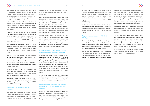SOUTH EAST EUROPE 2030 STRATEGY 60 61

The regional network of SEE statistical offices is of crucial importance in order to coordinate and facilitate data collection in the context of SEE 2030 Strategy, while taking care to minimise administrative burden and costs. Regional Network of SEE Statistical Offices will consider the previous practices of data collection carried out in the SEE 2020 Strategy. The RCC will do its best efforts to extend its existing online data collection to all SEE economies and upgrade it whenever necessary.

Based on the quantitative data to be received from SEE economies, the RCC Secretariat and its potential regional and international partners for the actions for which their collaboration is agreed prepares the first draft of SEE 2030 Strategy Implementation Report.

The Draft Report is presented to the SEE 2030 Strategy Monitoring Committee which would comprise of senior officials of SEE economies who are mandated by their respective governments.

The SEE 2030 Strategy Monitoring Committee of SEE economies will carry out its activities according to the rules of procedures which are to be adopted by the Committee. The previous rules of procedures of SEE 2020 Strategy will be taken into consideration during the adoption of new rules of procedures.

After the adoption of SEE 2030 Annual Report on Implementation, the report will be submitted by the RCC to the RCC Board Annual Meeting in June and presented to the SEECP Summit.

During each implementation year, the RCC Secretariat will regularly present the progress of SEE 2030 Strategy to the relevant meetings of SEECP and RCC Board meetings.

#### **Monitoring Committee of SEE 2030 Strategy**

The Monitoring Committee consists of the appointed high-level officials at the level of Assistant Minister or State Secretary, or their designates, in charge of UN SDGs coordination and implementation, from the governments of South East Europe and representative/s of the RCC Secretariat.

Each government is invited to appoint up to three participants to the Monitoring Committee. Two out of three participants appointed by each National Coordinator of SEE 2030 should come from the policy side. One of the three participant delegations of each SEE economy may include a representative of statistical offices, preferably the same official to be delegated to participate in the regional network of SEE Statistical Offices.

Representatives of RCC participants from the region and non-governmental entities, private sector, international organisations or others who can provide a relevant and constructive contribution to the work of the Committee may be invited to attend the meetings as observers, with prior consultation of the Committee participants.

#### **Engagement of SEE parliaments in the implementation of SEE 2030 Strategy**

As foreseen by Activity 1.3. of Dimension III, the SEE parliaments are foreseen to be updated regularly about the implementation of SEE 2030 Strategy. Such updating will take place annually in the framework of draft Annual Implementation Report presentation, and the remarks of parliaments will be collected. Before each regular update, the draft monitoring reports will also be shared with the representatives of SEE Parliaments.

In the Annual Implementation Report, a chapter will be devoted to the remarks of SFF Parliaments about the implementation and presented together with each year's implementation report.

#### **Collection of remarks through regional dialogue with Civil Society of SEE 2030 Strategy**

One of the monitoring activities which will be undertaken in parallel to the above mentioned actions is to collect comments of the relevant civil society stakeholders in the framework of Regional Dialogue as foreseen by Activity 1.3. of Dimension III, Drafts of Annual Implementation Report are to be shared with the representatives of civil society in May. Meetings in May every year with civil society in the framework of the referred activity will be devoted to collecting comments of civil society representatives on the implementation of SEE 2030 Strategy.

In the Annual Implementation Report, a chapter will be devoted to the remarks of civil society stakeholders about the implementation and presented together with each year's implementation report.

#### **Regular biennial update of SEE 2030 Strategy**

Based on the findings of SEE 2030 Annual Implementation Reports and progress in the implementation of activities, the priorities and activities of SEE 2030 Strategy will be updated to ensure relevance and feasibility of proposed actions.

The updating exercise will be initiated by the invitation of Monitoring Committee. In this invitation, the Monitoring Committee will summarise findings of the report about implementation related



issues and challenges regarding each Dimension, if any, and how they might be addressed. In the same invitation, the Monitoring Committee will propose priorities and actions deemed appropriate for updating. The list of priorities and actions proposed by the Committee would be indicative and SEE economies will have liberty to propose additional priorities and actions for updating.

All the proposed priorities and actions would also be accompanied by updated/new targets and indicators corresponding to the proposed update(s).

The RCC Secretariat will be responsible to compile the proposals of update(s) and present the updated version to the Monitoring Committee. Once the updated version is agreed with the Monitoring Committee, the final draft of updated version of SEE 2030 Strategy will be submitted to the RCC Annual Meeting for approval.

It is expected that the updated version of SEE 2030 Strategy is adopted by RCC Board at its March meeting of the following year.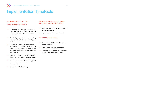#### **Implementation Timetable Initial period (2021-2023):**

- $\rightarrow$  Establishing Monitoring Committee of SEE 2030, confirmation of its delegates, and adoption of its rules of procedure and terms of reference
- $\rightarrow$  Establishing regional dialogue, networking and peer reviews for the corresponding actions
- $\rightarrow$  Selection of actions appropriate for international technical assistance and starting consultation with the corresponding international organisations according to their areas of expertise
- $\rightarrow$  Creating a Project Facility provided sufficient funds are raised to finance the Facility
- $\rightarrow$  Identifying and clustering bankable projects, and carrying out their economic and financial analysis
- $\rightarrow$  Updating the SEE 2030 Strategy
- $\rightarrow$  Completion of all international technical assistance projects
- $\rightarrow$  Completing of all IFI financed projects
- $\rightarrow$  Submitting Final Report of SEE 2030 Strategy to RCC Board and SEECP Summit

#### **Mid-term (with three updates in every two years) (2023-2029):**

- $\rightarrow$  Implementation of international technical assistance projects
- $\rightarrow$  Implementation of IFI financed projects

#### **Final term (2029-2030)**

### **Implementation Timetable**